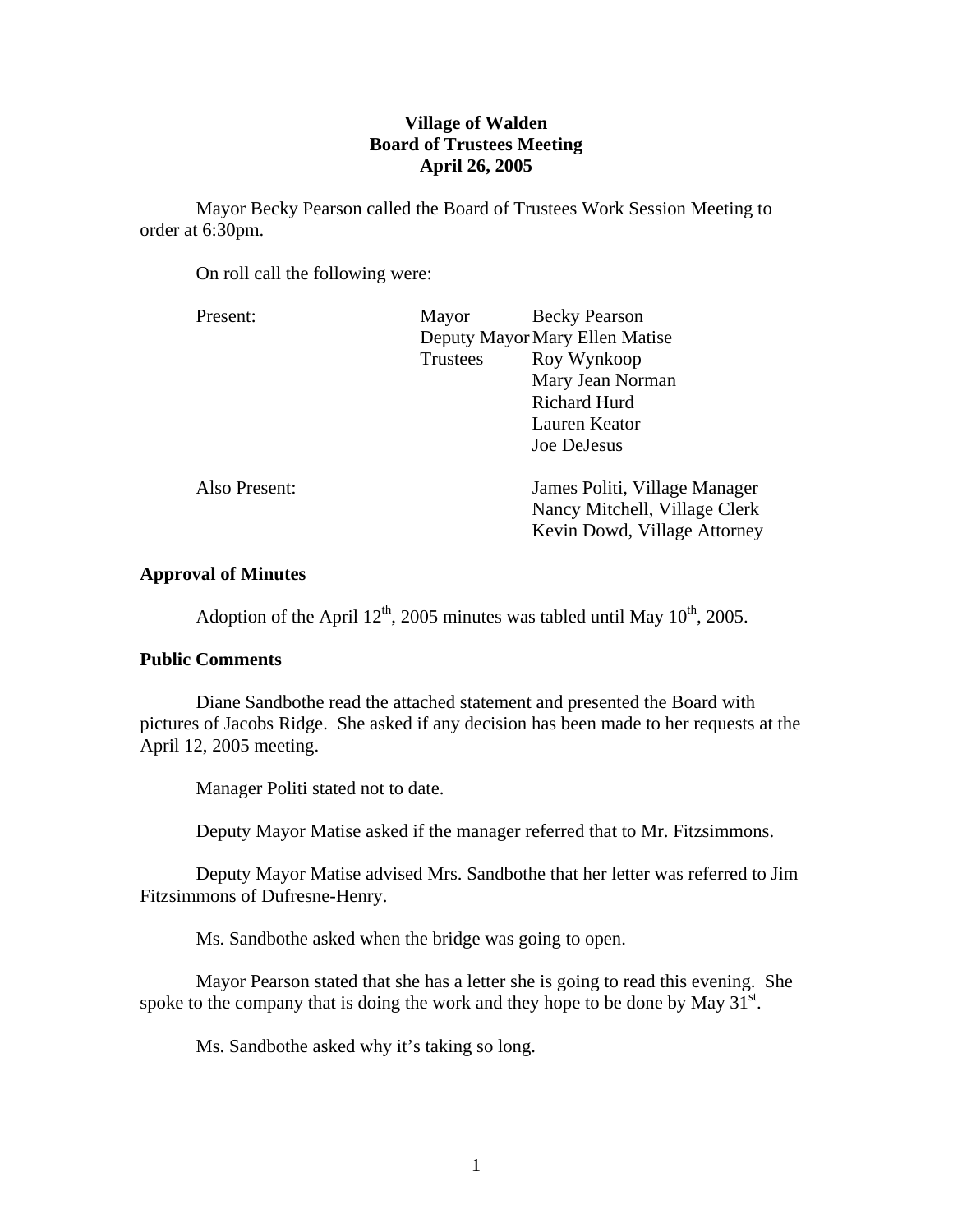# **Village of Walden Board of Trustees Meeting April 26, 2005**

Mayor Becky Pearson called the Board of Trustees Work Session Meeting to order at 6:30pm.

On roll call the following were:

| Present:      | Mayor                          | <b>Becky Pearson</b>          |
|---------------|--------------------------------|-------------------------------|
|               | Deputy Mayor Mary Ellen Matise |                               |
|               | <b>Trustees</b>                | Roy Wynkoop                   |
|               |                                | Mary Jean Norman              |
|               |                                | <b>Richard Hurd</b>           |
|               |                                | Lauren Keator                 |
|               |                                | Joe DeJesus                   |
|               |                                |                               |
| Also Present: |                                | James Politi, Village Manager |
|               |                                | Nancy Mitchell, Village Clerk |
|               |                                | Kevin Dowd, Village Attorney  |

# **Approval of Minutes**

Adoption of the April  $12^{th}$ , 2005 minutes was tabled until May  $10^{th}$ , 2005.

# **Public Comments**

Diane Sandbothe read the attached statement and presented the Board with pictures of Jacobs Ridge. She asked if any decision has been made to her requests at the April 12, 2005 meeting.

Manager Politi stated not to date.

Deputy Mayor Matise asked if the manager referred that to Mr. Fitzsimmons.

 Deputy Mayor Matise advised Mrs. Sandbothe that her letter was referred to Jim Fitzsimmons of Dufresne-Henry.

Ms. Sandbothe asked when the bridge was going to open.

 Mayor Pearson stated that she has a letter she is going to read this evening. She spoke to the company that is doing the work and they hope to be done by May  $31<sup>st</sup>$ .

Ms. Sandbothe asked why it's taking so long.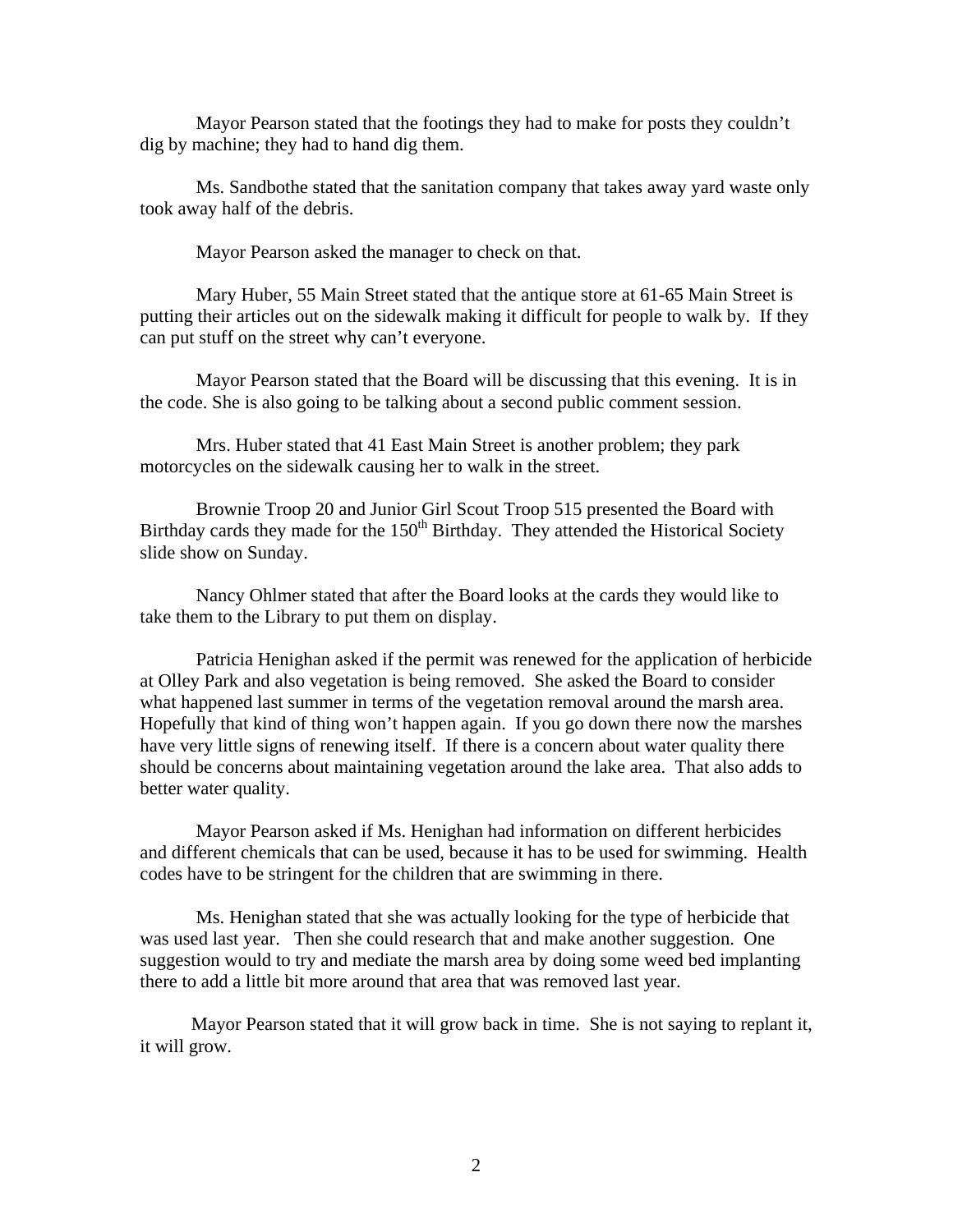Mayor Pearson stated that the footings they had to make for posts they couldn't dig by machine; they had to hand dig them.

 Ms. Sandbothe stated that the sanitation company that takes away yard waste only took away half of the debris.

Mayor Pearson asked the manager to check on that.

 Mary Huber, 55 Main Street stated that the antique store at 61-65 Main Street is putting their articles out on the sidewalk making it difficult for people to walk by. If they can put stuff on the street why can't everyone.

 Mayor Pearson stated that the Board will be discussing that this evening. It is in the code. She is also going to be talking about a second public comment session.

 Mrs. Huber stated that 41 East Main Street is another problem; they park motorcycles on the sidewalk causing her to walk in the street.

 Brownie Troop 20 and Junior Girl Scout Troop 515 presented the Board with Birthday cards they made for the  $150<sup>th</sup>$  Birthday. They attended the Historical Society slide show on Sunday.

 Nancy Ohlmer stated that after the Board looks at the cards they would like to take them to the Library to put them on display.

 Patricia Henighan asked if the permit was renewed for the application of herbicide at Olley Park and also vegetation is being removed. She asked the Board to consider what happened last summer in terms of the vegetation removal around the marsh area. Hopefully that kind of thing won't happen again. If you go down there now the marshes have very little signs of renewing itself. If there is a concern about water quality there should be concerns about maintaining vegetation around the lake area. That also adds to better water quality.

 Mayor Pearson asked if Ms. Henighan had information on different herbicides and different chemicals that can be used, because it has to be used for swimming. Health codes have to be stringent for the children that are swimming in there.

 Ms. Henighan stated that she was actually looking for the type of herbicide that was used last year. Then she could research that and make another suggestion. One suggestion would to try and mediate the marsh area by doing some weed bed implanting there to add a little bit more around that area that was removed last year.

 Mayor Pearson stated that it will grow back in time. She is not saying to replant it, it will grow.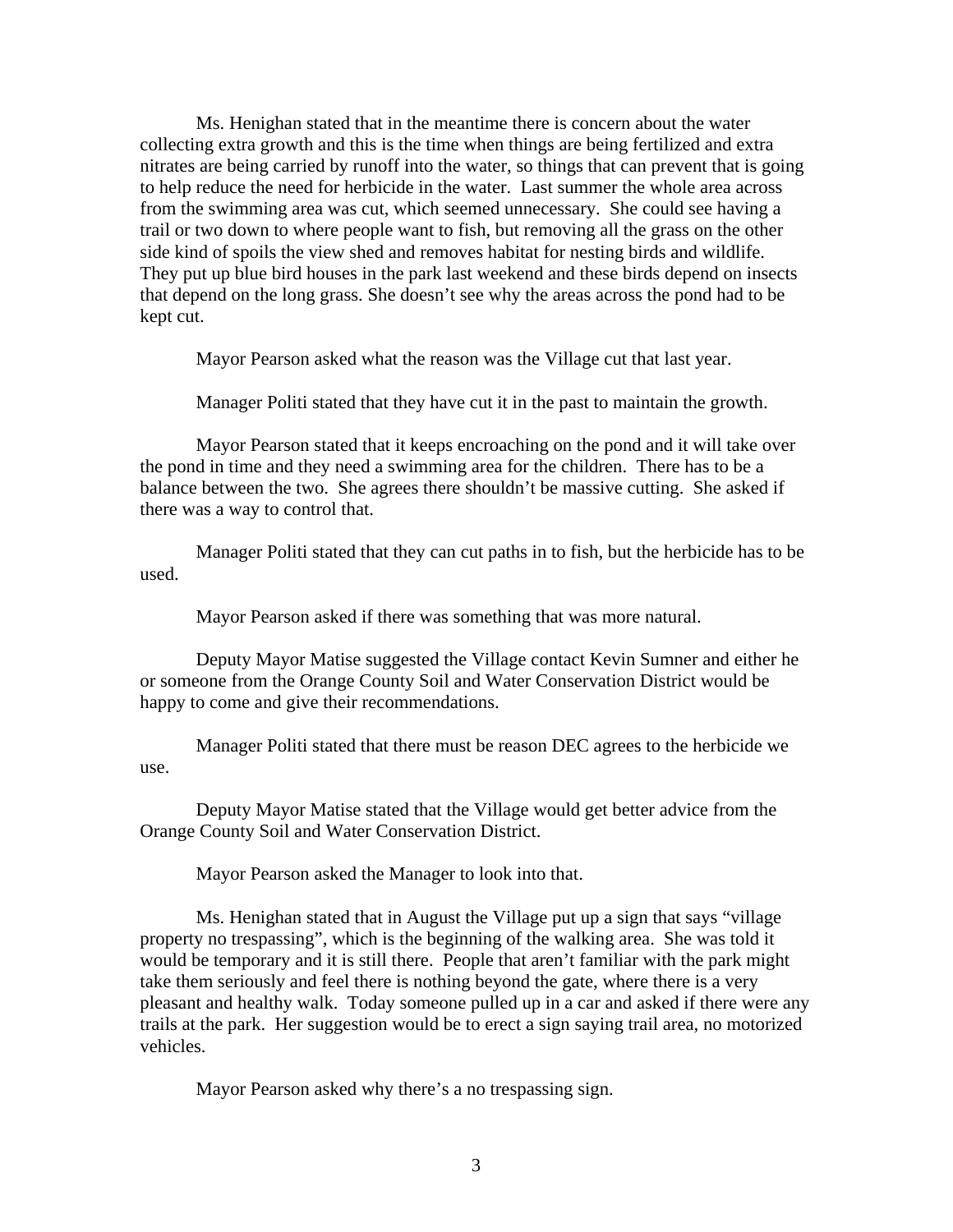Ms. Henighan stated that in the meantime there is concern about the water collecting extra growth and this is the time when things are being fertilized and extra nitrates are being carried by runoff into the water, so things that can prevent that is going to help reduce the need for herbicide in the water. Last summer the whole area across from the swimming area was cut, which seemed unnecessary. She could see having a trail or two down to where people want to fish, but removing all the grass on the other side kind of spoils the view shed and removes habitat for nesting birds and wildlife. They put up blue bird houses in the park last weekend and these birds depend on insects that depend on the long grass. She doesn't see why the areas across the pond had to be kept cut.

Mayor Pearson asked what the reason was the Village cut that last year.

Manager Politi stated that they have cut it in the past to maintain the growth.

 Mayor Pearson stated that it keeps encroaching on the pond and it will take over the pond in time and they need a swimming area for the children. There has to be a balance between the two. She agrees there shouldn't be massive cutting. She asked if there was a way to control that.

 Manager Politi stated that they can cut paths in to fish, but the herbicide has to be used.

Mayor Pearson asked if there was something that was more natural.

 Deputy Mayor Matise suggested the Village contact Kevin Sumner and either he or someone from the Orange County Soil and Water Conservation District would be happy to come and give their recommendations.

 Manager Politi stated that there must be reason DEC agrees to the herbicide we use.

 Deputy Mayor Matise stated that the Village would get better advice from the Orange County Soil and Water Conservation District.

Mayor Pearson asked the Manager to look into that.

 Ms. Henighan stated that in August the Village put up a sign that says "village property no trespassing", which is the beginning of the walking area. She was told it would be temporary and it is still there. People that aren't familiar with the park might take them seriously and feel there is nothing beyond the gate, where there is a very pleasant and healthy walk. Today someone pulled up in a car and asked if there were any trails at the park. Her suggestion would be to erect a sign saying trail area, no motorized vehicles.

Mayor Pearson asked why there's a no trespassing sign.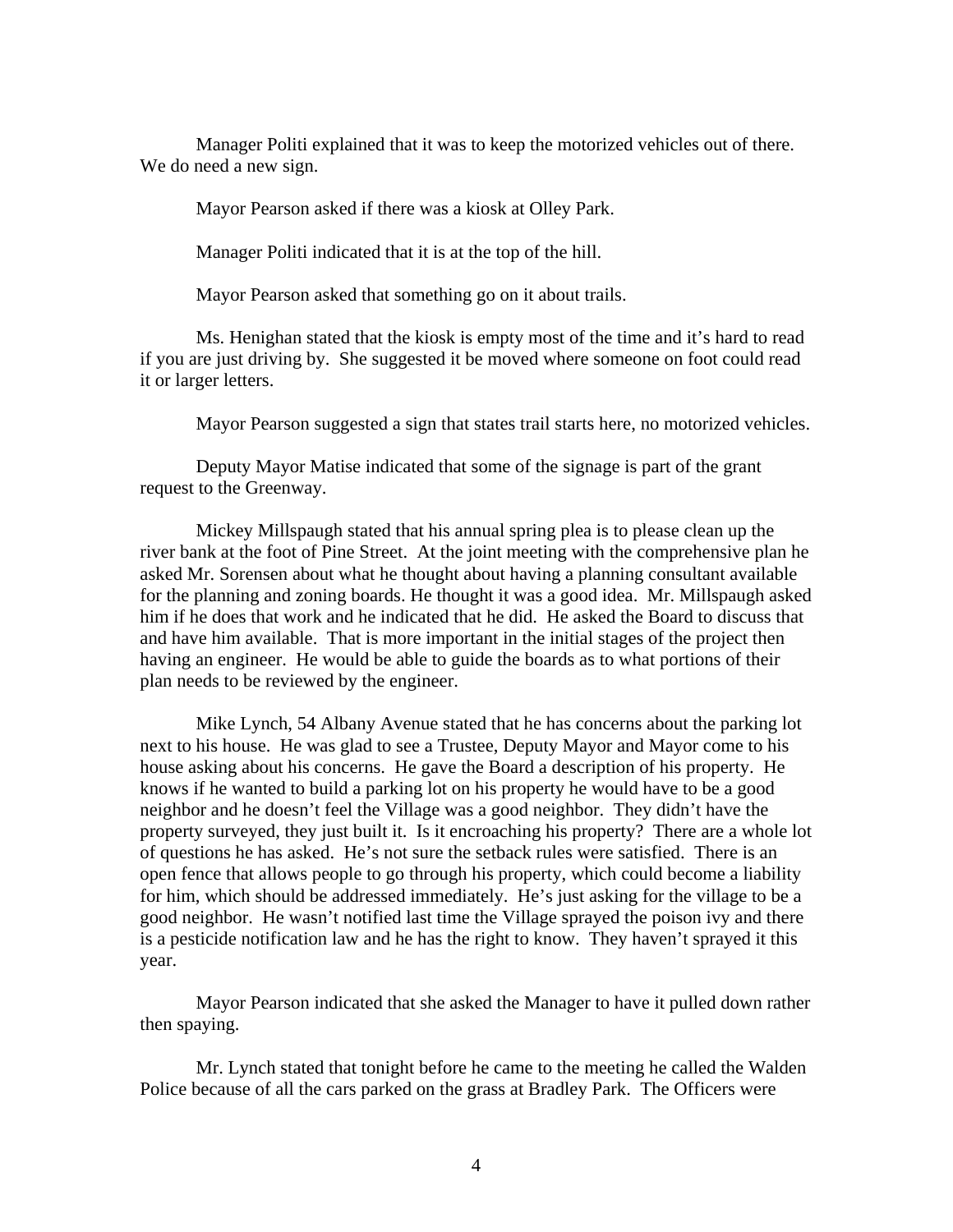Manager Politi explained that it was to keep the motorized vehicles out of there. We do need a new sign.

Mayor Pearson asked if there was a kiosk at Olley Park.

Manager Politi indicated that it is at the top of the hill.

Mayor Pearson asked that something go on it about trails.

 Ms. Henighan stated that the kiosk is empty most of the time and it's hard to read if you are just driving by. She suggested it be moved where someone on foot could read it or larger letters.

Mayor Pearson suggested a sign that states trail starts here, no motorized vehicles.

 Deputy Mayor Matise indicated that some of the signage is part of the grant request to the Greenway.

 Mickey Millspaugh stated that his annual spring plea is to please clean up the river bank at the foot of Pine Street. At the joint meeting with the comprehensive plan he asked Mr. Sorensen about what he thought about having a planning consultant available for the planning and zoning boards. He thought it was a good idea. Mr. Millspaugh asked him if he does that work and he indicated that he did. He asked the Board to discuss that and have him available. That is more important in the initial stages of the project then having an engineer. He would be able to guide the boards as to what portions of their plan needs to be reviewed by the engineer.

 Mike Lynch, 54 Albany Avenue stated that he has concerns about the parking lot next to his house. He was glad to see a Trustee, Deputy Mayor and Mayor come to his house asking about his concerns. He gave the Board a description of his property. He knows if he wanted to build a parking lot on his property he would have to be a good neighbor and he doesn't feel the Village was a good neighbor. They didn't have the property surveyed, they just built it. Is it encroaching his property? There are a whole lot of questions he has asked. He's not sure the setback rules were satisfied. There is an open fence that allows people to go through his property, which could become a liability for him, which should be addressed immediately. He's just asking for the village to be a good neighbor. He wasn't notified last time the Village sprayed the poison ivy and there is a pesticide notification law and he has the right to know. They haven't sprayed it this year.

 Mayor Pearson indicated that she asked the Manager to have it pulled down rather then spaying.

 Mr. Lynch stated that tonight before he came to the meeting he called the Walden Police because of all the cars parked on the grass at Bradley Park. The Officers were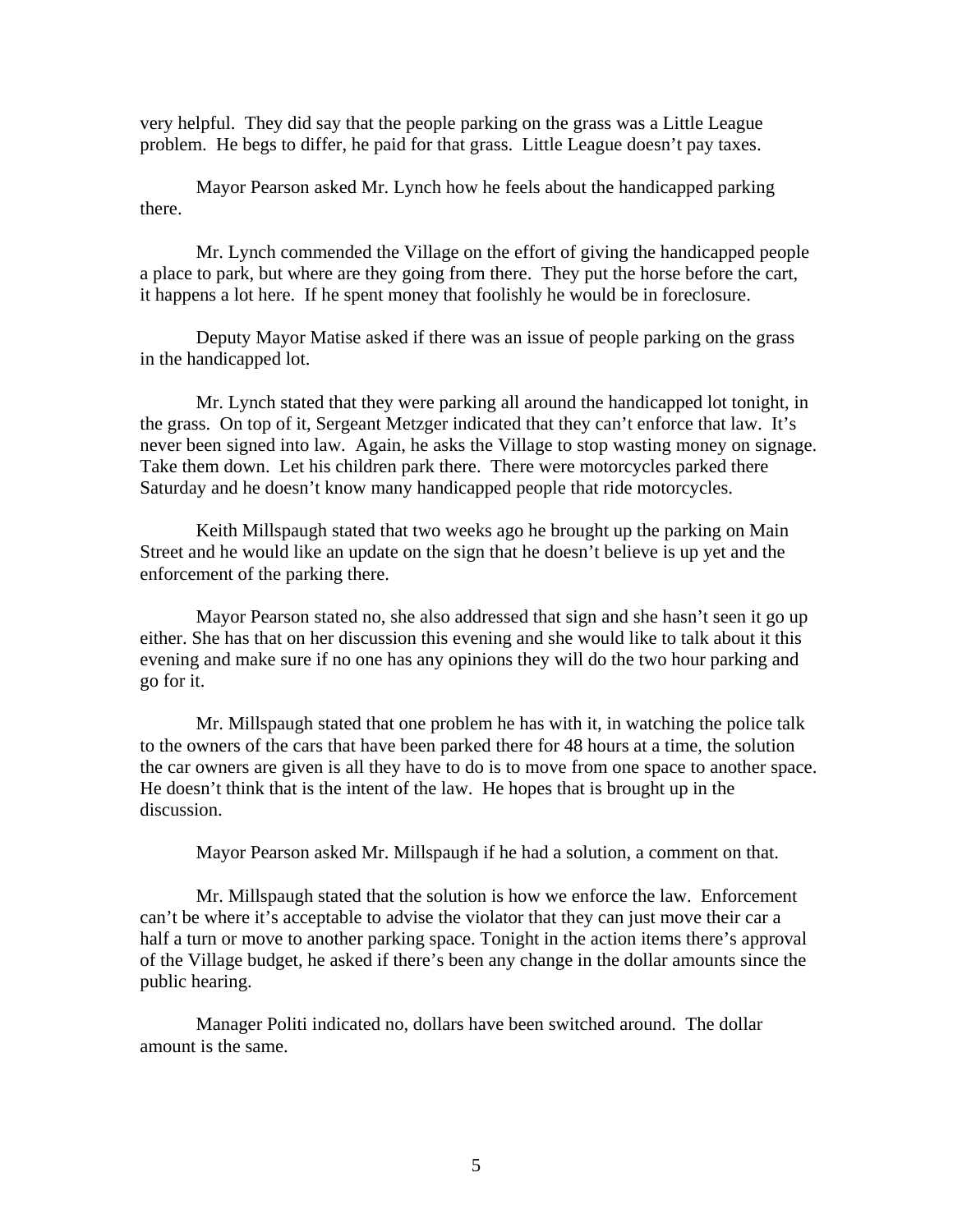very helpful. They did say that the people parking on the grass was a Little League problem. He begs to differ, he paid for that grass. Little League doesn't pay taxes.

 Mayor Pearson asked Mr. Lynch how he feels about the handicapped parking there.

 Mr. Lynch commended the Village on the effort of giving the handicapped people a place to park, but where are they going from there. They put the horse before the cart, it happens a lot here. If he spent money that foolishly he would be in foreclosure.

 Deputy Mayor Matise asked if there was an issue of people parking on the grass in the handicapped lot.

 Mr. Lynch stated that they were parking all around the handicapped lot tonight, in the grass. On top of it, Sergeant Metzger indicated that they can't enforce that law. It's never been signed into law. Again, he asks the Village to stop wasting money on signage. Take them down. Let his children park there. There were motorcycles parked there Saturday and he doesn't know many handicapped people that ride motorcycles.

 Keith Millspaugh stated that two weeks ago he brought up the parking on Main Street and he would like an update on the sign that he doesn't believe is up yet and the enforcement of the parking there.

 Mayor Pearson stated no, she also addressed that sign and she hasn't seen it go up either. She has that on her discussion this evening and she would like to talk about it this evening and make sure if no one has any opinions they will do the two hour parking and go for it.

 Mr. Millspaugh stated that one problem he has with it, in watching the police talk to the owners of the cars that have been parked there for 48 hours at a time, the solution the car owners are given is all they have to do is to move from one space to another space. He doesn't think that is the intent of the law. He hopes that is brought up in the discussion.

Mayor Pearson asked Mr. Millspaugh if he had a solution, a comment on that.

 Mr. Millspaugh stated that the solution is how we enforce the law. Enforcement can't be where it's acceptable to advise the violator that they can just move their car a half a turn or move to another parking space. Tonight in the action items there's approval of the Village budget, he asked if there's been any change in the dollar amounts since the public hearing.

 Manager Politi indicated no, dollars have been switched around. The dollar amount is the same.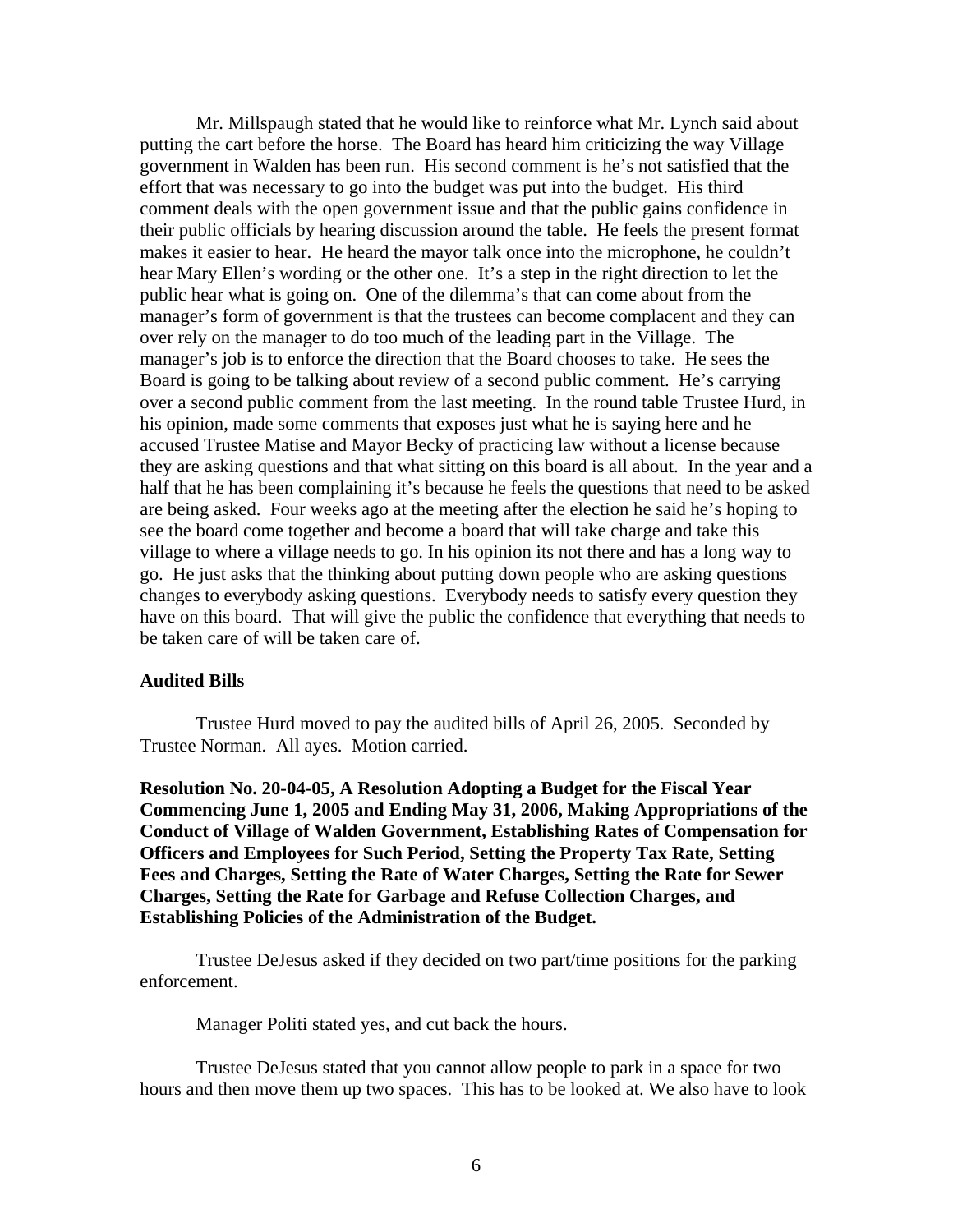Mr. Millspaugh stated that he would like to reinforce what Mr. Lynch said about putting the cart before the horse. The Board has heard him criticizing the way Village government in Walden has been run. His second comment is he's not satisfied that the effort that was necessary to go into the budget was put into the budget. His third comment deals with the open government issue and that the public gains confidence in their public officials by hearing discussion around the table. He feels the present format makes it easier to hear. He heard the mayor talk once into the microphone, he couldn't hear Mary Ellen's wording or the other one. It's a step in the right direction to let the public hear what is going on. One of the dilemma's that can come about from the manager's form of government is that the trustees can become complacent and they can over rely on the manager to do too much of the leading part in the Village. The manager's job is to enforce the direction that the Board chooses to take. He sees the Board is going to be talking about review of a second public comment. He's carrying over a second public comment from the last meeting. In the round table Trustee Hurd, in his opinion, made some comments that exposes just what he is saying here and he accused Trustee Matise and Mayor Becky of practicing law without a license because they are asking questions and that what sitting on this board is all about. In the year and a half that he has been complaining it's because he feels the questions that need to be asked are being asked. Four weeks ago at the meeting after the election he said he's hoping to see the board come together and become a board that will take charge and take this village to where a village needs to go. In his opinion its not there and has a long way to go. He just asks that the thinking about putting down people who are asking questions changes to everybody asking questions. Everybody needs to satisfy every question they have on this board. That will give the public the confidence that everything that needs to be taken care of will be taken care of.

#### **Audited Bills**

Trustee Hurd moved to pay the audited bills of April 26, 2005. Seconded by Trustee Norman. All ayes. Motion carried.

**Resolution No. 20-04-05, A Resolution Adopting a Budget for the Fiscal Year Commencing June 1, 2005 and Ending May 31, 2006, Making Appropriations of the Conduct of Village of Walden Government, Establishing Rates of Compensation for Officers and Employees for Such Period, Setting the Property Tax Rate, Setting Fees and Charges, Setting the Rate of Water Charges, Setting the Rate for Sewer Charges, Setting the Rate for Garbage and Refuse Collection Charges, and Establishing Policies of the Administration of the Budget.** 

 Trustee DeJesus asked if they decided on two part/time positions for the parking enforcement.

Manager Politi stated yes, and cut back the hours.

 Trustee DeJesus stated that you cannot allow people to park in a space for two hours and then move them up two spaces. This has to be looked at. We also have to look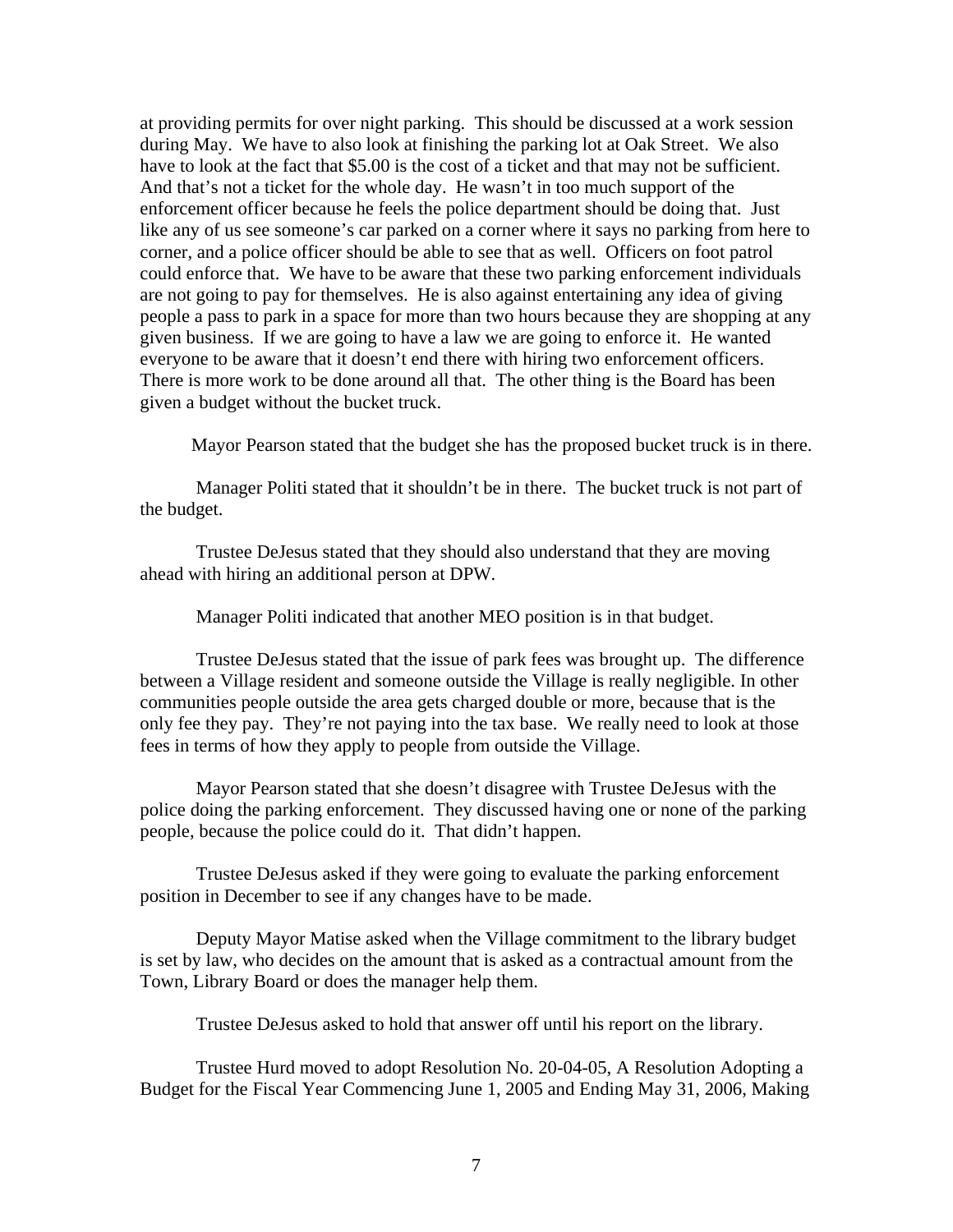at providing permits for over night parking. This should be discussed at a work session during May. We have to also look at finishing the parking lot at Oak Street. We also have to look at the fact that \$5.00 is the cost of a ticket and that may not be sufficient. And that's not a ticket for the whole day. He wasn't in too much support of the enforcement officer because he feels the police department should be doing that. Just like any of us see someone's car parked on a corner where it says no parking from here to corner, and a police officer should be able to see that as well. Officers on foot patrol could enforce that. We have to be aware that these two parking enforcement individuals are not going to pay for themselves. He is also against entertaining any idea of giving people a pass to park in a space for more than two hours because they are shopping at any given business. If we are going to have a law we are going to enforce it. He wanted everyone to be aware that it doesn't end there with hiring two enforcement officers. There is more work to be done around all that. The other thing is the Board has been given a budget without the bucket truck.

Mayor Pearson stated that the budget she has the proposed bucket truck is in there.

 Manager Politi stated that it shouldn't be in there. The bucket truck is not part of the budget.

 Trustee DeJesus stated that they should also understand that they are moving ahead with hiring an additional person at DPW.

Manager Politi indicated that another MEO position is in that budget.

 Trustee DeJesus stated that the issue of park fees was brought up. The difference between a Village resident and someone outside the Village is really negligible. In other communities people outside the area gets charged double or more, because that is the only fee they pay. They're not paying into the tax base. We really need to look at those fees in terms of how they apply to people from outside the Village.

 Mayor Pearson stated that she doesn't disagree with Trustee DeJesus with the police doing the parking enforcement. They discussed having one or none of the parking people, because the police could do it. That didn't happen.

 Trustee DeJesus asked if they were going to evaluate the parking enforcement position in December to see if any changes have to be made.

 Deputy Mayor Matise asked when the Village commitment to the library budget is set by law, who decides on the amount that is asked as a contractual amount from the Town, Library Board or does the manager help them.

Trustee DeJesus asked to hold that answer off until his report on the library.

Trustee Hurd moved to adopt Resolution No. 20-04-05, A Resolution Adopting a Budget for the Fiscal Year Commencing June 1, 2005 and Ending May 31, 2006, Making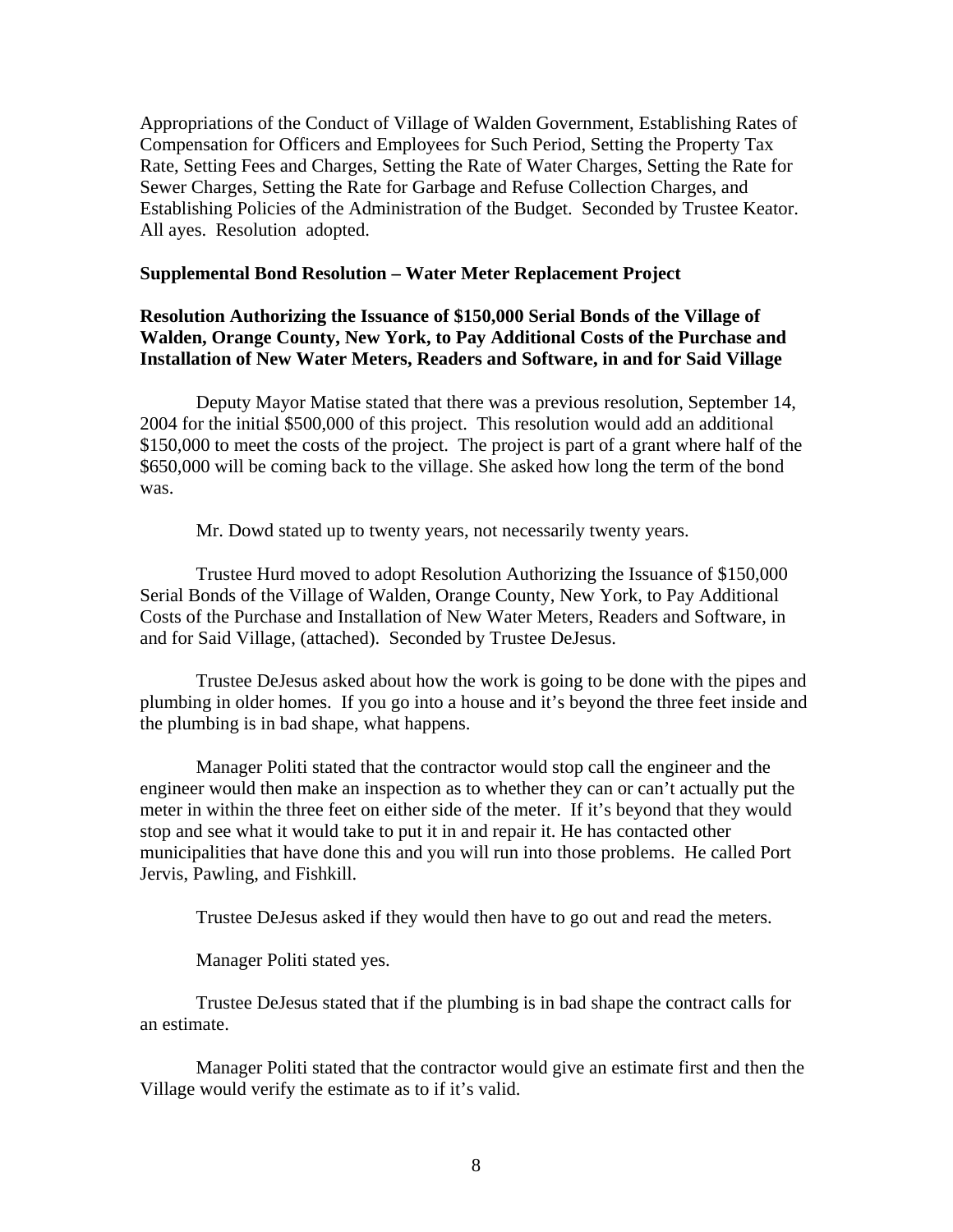Appropriations of the Conduct of Village of Walden Government, Establishing Rates of Compensation for Officers and Employees for Such Period, Setting the Property Tax Rate, Setting Fees and Charges, Setting the Rate of Water Charges, Setting the Rate for Sewer Charges, Setting the Rate for Garbage and Refuse Collection Charges, and Establishing Policies of the Administration of the Budget. Seconded by Trustee Keator. All ayes. Resolution adopted.

### **Supplemental Bond Resolution – Water Meter Replacement Project**

# **Resolution Authorizing the Issuance of \$150,000 Serial Bonds of the Village of Walden, Orange County, New York, to Pay Additional Costs of the Purchase and Installation of New Water Meters, Readers and Software, in and for Said Village**

Deputy Mayor Matise stated that there was a previous resolution, September 14, 2004 for the initial \$500,000 of this project. This resolution would add an additional \$150,000 to meet the costs of the project. The project is part of a grant where half of the \$650,000 will be coming back to the village. She asked how long the term of the bond was.

Mr. Dowd stated up to twenty years, not necessarily twenty years.

 Trustee Hurd moved to adopt Resolution Authorizing the Issuance of \$150,000 Serial Bonds of the Village of Walden, Orange County, New York, to Pay Additional Costs of the Purchase and Installation of New Water Meters, Readers and Software, in and for Said Village, (attached). Seconded by Trustee DeJesus.

 Trustee DeJesus asked about how the work is going to be done with the pipes and plumbing in older homes. If you go into a house and it's beyond the three feet inside and the plumbing is in bad shape, what happens.

 Manager Politi stated that the contractor would stop call the engineer and the engineer would then make an inspection as to whether they can or can't actually put the meter in within the three feet on either side of the meter. If it's beyond that they would stop and see what it would take to put it in and repair it. He has contacted other municipalities that have done this and you will run into those problems. He called Port Jervis, Pawling, and Fishkill.

Trustee DeJesus asked if they would then have to go out and read the meters.

Manager Politi stated yes.

 Trustee DeJesus stated that if the plumbing is in bad shape the contract calls for an estimate.

 Manager Politi stated that the contractor would give an estimate first and then the Village would verify the estimate as to if it's valid.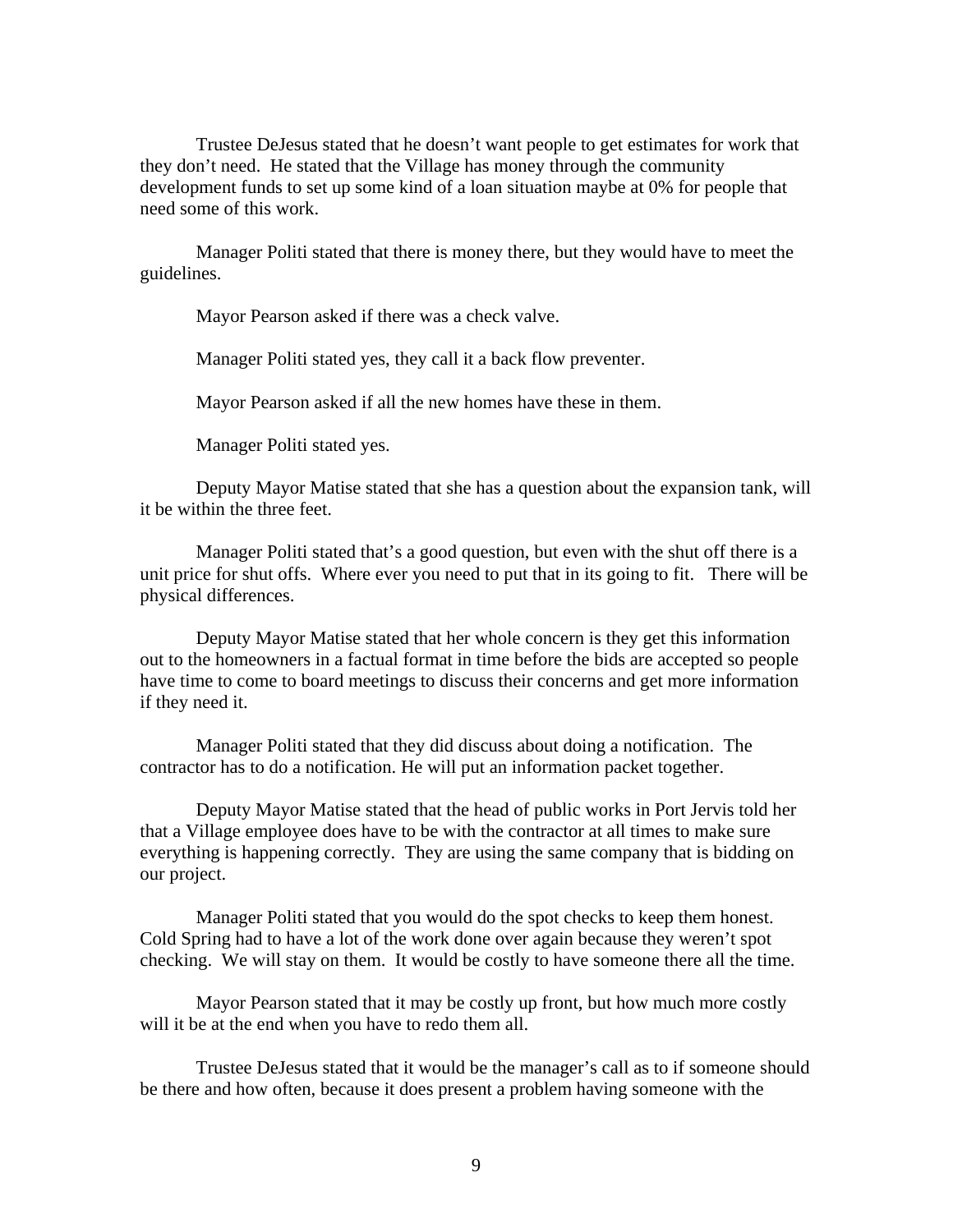Trustee DeJesus stated that he doesn't want people to get estimates for work that they don't need. He stated that the Village has money through the community development funds to set up some kind of a loan situation maybe at 0% for people that need some of this work.

 Manager Politi stated that there is money there, but they would have to meet the guidelines.

Mayor Pearson asked if there was a check valve.

Manager Politi stated yes, they call it a back flow preventer.

Mayor Pearson asked if all the new homes have these in them.

Manager Politi stated yes.

 Deputy Mayor Matise stated that she has a question about the expansion tank, will it be within the three feet.

 Manager Politi stated that's a good question, but even with the shut off there is a unit price for shut offs. Where ever you need to put that in its going to fit. There will be physical differences.

 Deputy Mayor Matise stated that her whole concern is they get this information out to the homeowners in a factual format in time before the bids are accepted so people have time to come to board meetings to discuss their concerns and get more information if they need it.

 Manager Politi stated that they did discuss about doing a notification. The contractor has to do a notification. He will put an information packet together.

 Deputy Mayor Matise stated that the head of public works in Port Jervis told her that a Village employee does have to be with the contractor at all times to make sure everything is happening correctly. They are using the same company that is bidding on our project.

 Manager Politi stated that you would do the spot checks to keep them honest. Cold Spring had to have a lot of the work done over again because they weren't spot checking. We will stay on them. It would be costly to have someone there all the time.

 Mayor Pearson stated that it may be costly up front, but how much more costly will it be at the end when you have to redo them all.

 Trustee DeJesus stated that it would be the manager's call as to if someone should be there and how often, because it does present a problem having someone with the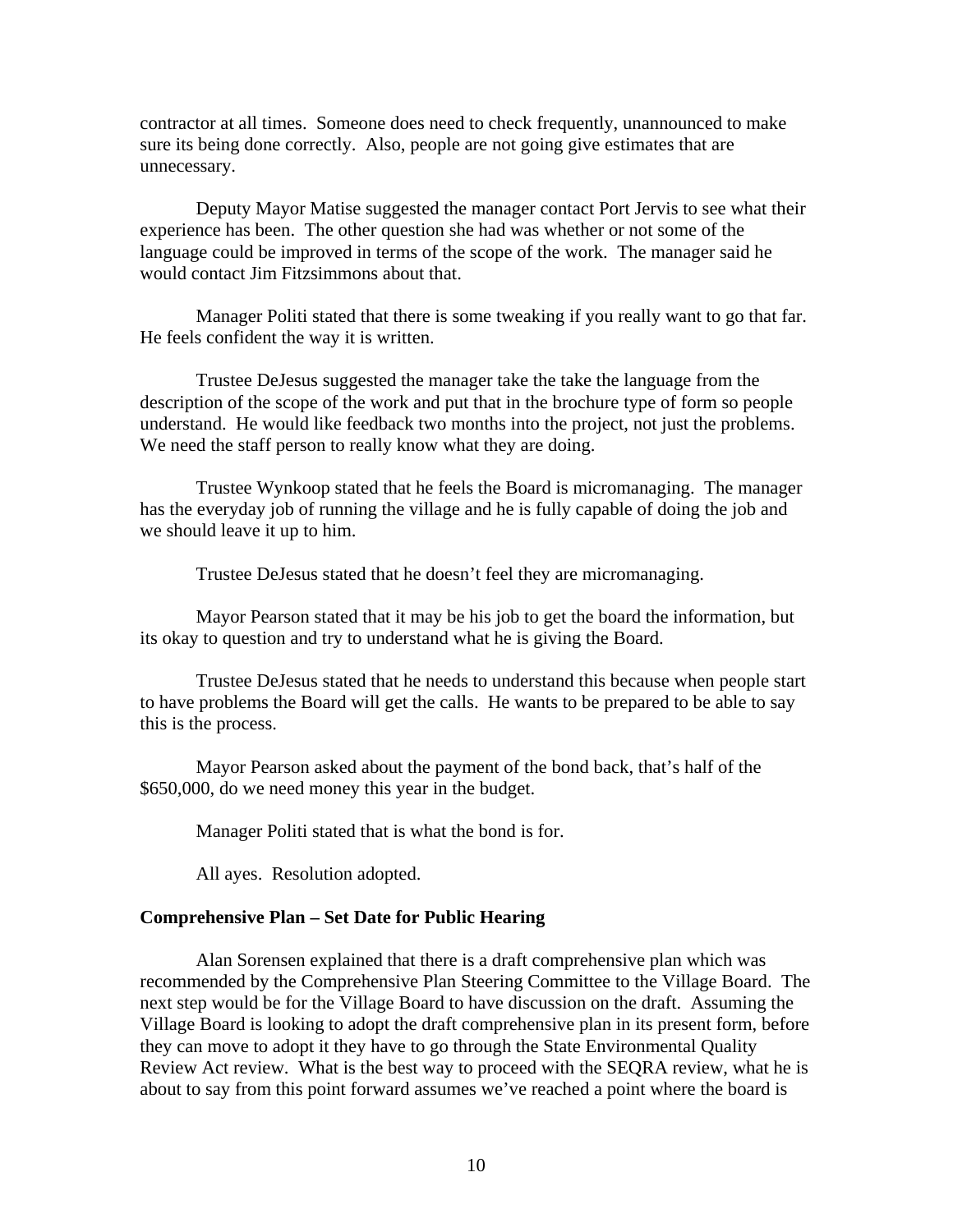contractor at all times. Someone does need to check frequently, unannounced to make sure its being done correctly. Also, people are not going give estimates that are unnecessary.

 Deputy Mayor Matise suggested the manager contact Port Jervis to see what their experience has been. The other question she had was whether or not some of the language could be improved in terms of the scope of the work. The manager said he would contact Jim Fitzsimmons about that.

 Manager Politi stated that there is some tweaking if you really want to go that far. He feels confident the way it is written.

 Trustee DeJesus suggested the manager take the take the language from the description of the scope of the work and put that in the brochure type of form so people understand. He would like feedback two months into the project, not just the problems. We need the staff person to really know what they are doing.

 Trustee Wynkoop stated that he feels the Board is micromanaging. The manager has the everyday job of running the village and he is fully capable of doing the job and we should leave it up to him.

Trustee DeJesus stated that he doesn't feel they are micromanaging.

 Mayor Pearson stated that it may be his job to get the board the information, but its okay to question and try to understand what he is giving the Board.

 Trustee DeJesus stated that he needs to understand this because when people start to have problems the Board will get the calls. He wants to be prepared to be able to say this is the process.

 Mayor Pearson asked about the payment of the bond back, that's half of the \$650,000, do we need money this year in the budget.

Manager Politi stated that is what the bond is for.

All ayes. Resolution adopted.

### **Comprehensive Plan – Set Date for Public Hearing**

Alan Sorensen explained that there is a draft comprehensive plan which was recommended by the Comprehensive Plan Steering Committee to the Village Board. The next step would be for the Village Board to have discussion on the draft. Assuming the Village Board is looking to adopt the draft comprehensive plan in its present form, before they can move to adopt it they have to go through the State Environmental Quality Review Act review. What is the best way to proceed with the SEQRA review, what he is about to say from this point forward assumes we've reached a point where the board is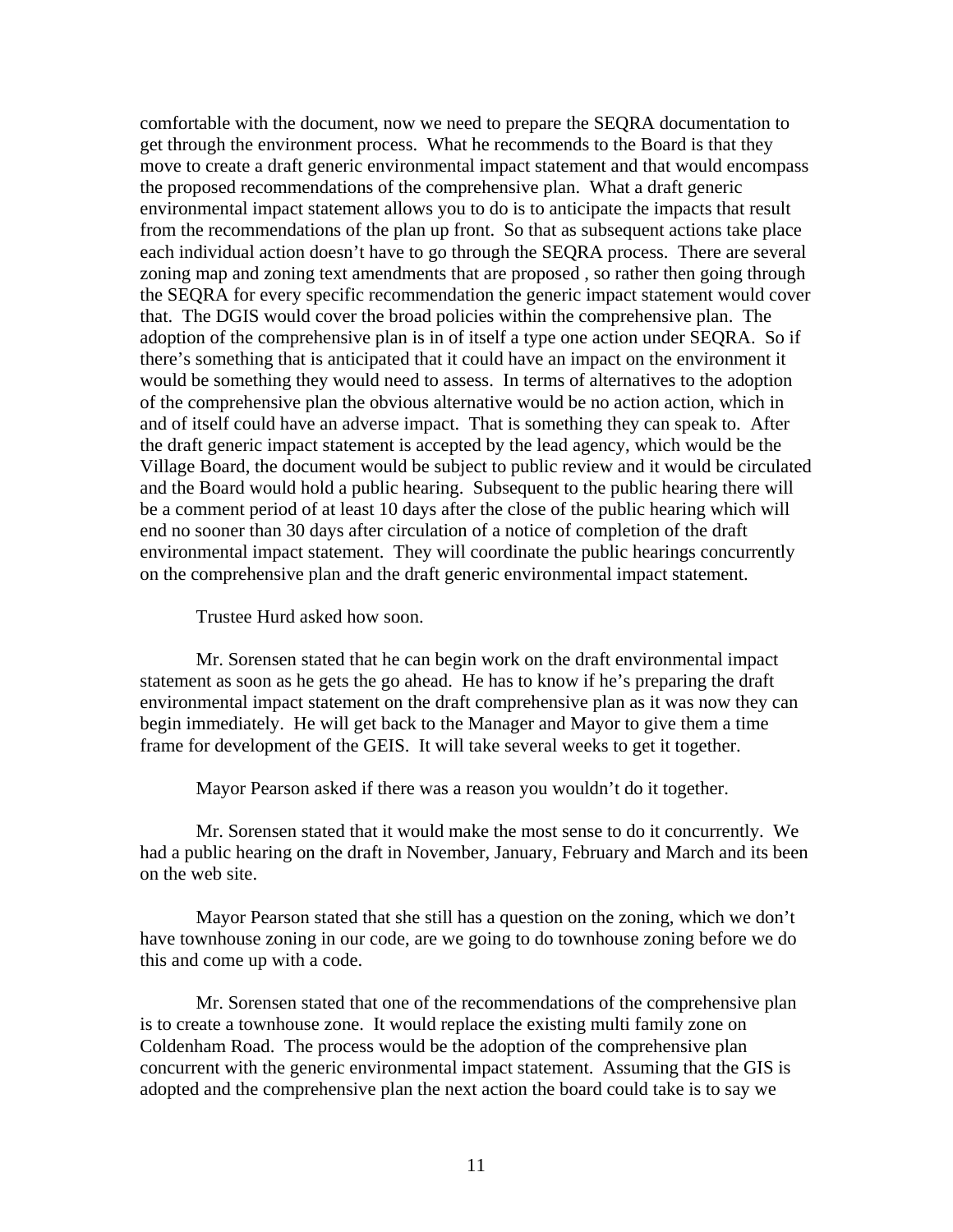comfortable with the document, now we need to prepare the SEQRA documentation to get through the environment process. What he recommends to the Board is that they move to create a draft generic environmental impact statement and that would encompass the proposed recommendations of the comprehensive plan. What a draft generic environmental impact statement allows you to do is to anticipate the impacts that result from the recommendations of the plan up front. So that as subsequent actions take place each individual action doesn't have to go through the SEQRA process. There are several zoning map and zoning text amendments that are proposed , so rather then going through the SEQRA for every specific recommendation the generic impact statement would cover that. The DGIS would cover the broad policies within the comprehensive plan. The adoption of the comprehensive plan is in of itself a type one action under SEQRA. So if there's something that is anticipated that it could have an impact on the environment it would be something they would need to assess. In terms of alternatives to the adoption of the comprehensive plan the obvious alternative would be no action action, which in and of itself could have an adverse impact. That is something they can speak to. After the draft generic impact statement is accepted by the lead agency, which would be the Village Board, the document would be subject to public review and it would be circulated and the Board would hold a public hearing. Subsequent to the public hearing there will be a comment period of at least 10 days after the close of the public hearing which will end no sooner than 30 days after circulation of a notice of completion of the draft environmental impact statement. They will coordinate the public hearings concurrently on the comprehensive plan and the draft generic environmental impact statement.

Trustee Hurd asked how soon.

 Mr. Sorensen stated that he can begin work on the draft environmental impact statement as soon as he gets the go ahead. He has to know if he's preparing the draft environmental impact statement on the draft comprehensive plan as it was now they can begin immediately. He will get back to the Manager and Mayor to give them a time frame for development of the GEIS. It will take several weeks to get it together.

Mayor Pearson asked if there was a reason you wouldn't do it together.

Mr. Sorensen stated that it would make the most sense to do it concurrently. We had a public hearing on the draft in November, January, February and March and its been on the web site.

Mayor Pearson stated that she still has a question on the zoning, which we don't have townhouse zoning in our code, are we going to do townhouse zoning before we do this and come up with a code.

Mr. Sorensen stated that one of the recommendations of the comprehensive plan is to create a townhouse zone. It would replace the existing multi family zone on Coldenham Road. The process would be the adoption of the comprehensive plan concurrent with the generic environmental impact statement. Assuming that the GIS is adopted and the comprehensive plan the next action the board could take is to say we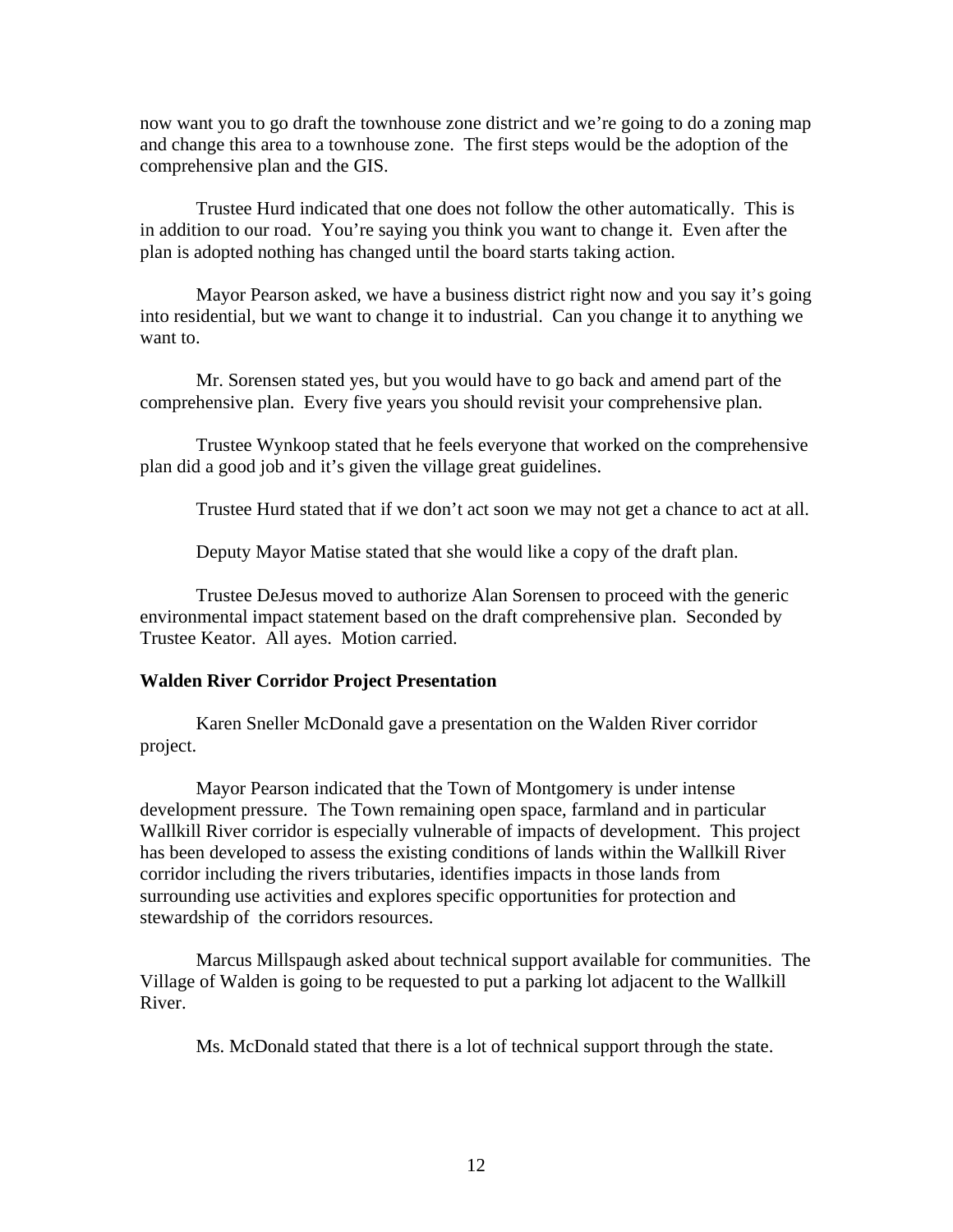now want you to go draft the townhouse zone district and we're going to do a zoning map and change this area to a townhouse zone. The first steps would be the adoption of the comprehensive plan and the GIS.

Trustee Hurd indicated that one does not follow the other automatically. This is in addition to our road. You're saying you think you want to change it. Even after the plan is adopted nothing has changed until the board starts taking action.

 Mayor Pearson asked, we have a business district right now and you say it's going into residential, but we want to change it to industrial. Can you change it to anything we want to.

 Mr. Sorensen stated yes, but you would have to go back and amend part of the comprehensive plan. Every five years you should revisit your comprehensive plan.

 Trustee Wynkoop stated that he feels everyone that worked on the comprehensive plan did a good job and it's given the village great guidelines.

Trustee Hurd stated that if we don't act soon we may not get a chance to act at all.

Deputy Mayor Matise stated that she would like a copy of the draft plan.

Trustee DeJesus moved to authorize Alan Sorensen to proceed with the generic environmental impact statement based on the draft comprehensive plan. Seconded by Trustee Keator. All ayes. Motion carried.

# **Walden River Corridor Project Presentation**

Karen Sneller McDonald gave a presentation on the Walden River corridor project.

 Mayor Pearson indicated that the Town of Montgomery is under intense development pressure. The Town remaining open space, farmland and in particular Wallkill River corridor is especially vulnerable of impacts of development. This project has been developed to assess the existing conditions of lands within the Wallkill River corridor including the rivers tributaries, identifies impacts in those lands from surrounding use activities and explores specific opportunities for protection and stewardship of the corridors resources.

 Marcus Millspaugh asked about technical support available for communities. The Village of Walden is going to be requested to put a parking lot adjacent to the Wallkill River.

Ms. McDonald stated that there is a lot of technical support through the state.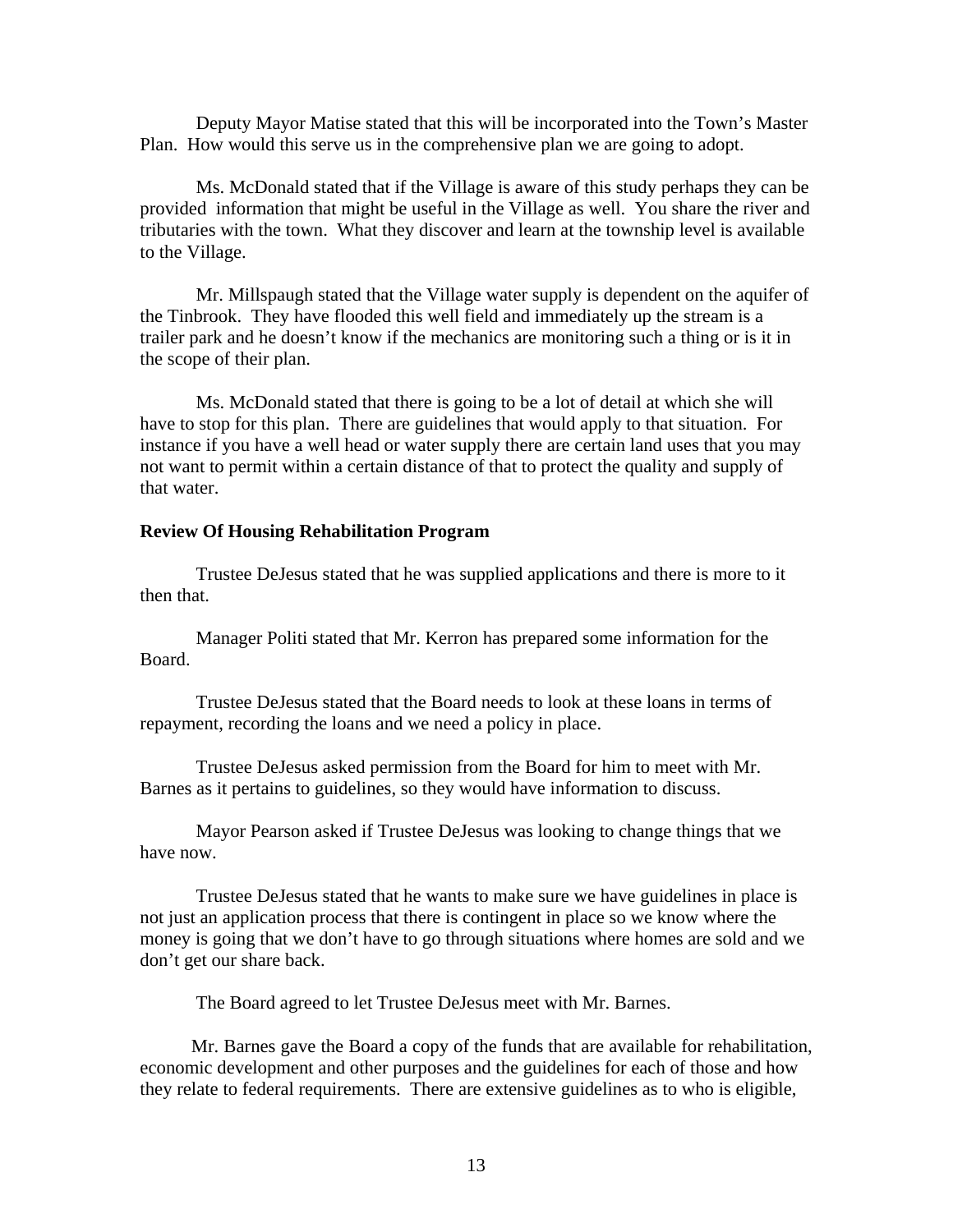Deputy Mayor Matise stated that this will be incorporated into the Town's Master Plan. How would this serve us in the comprehensive plan we are going to adopt.

 Ms. McDonald stated that if the Village is aware of this study perhaps they can be provided information that might be useful in the Village as well. You share the river and tributaries with the town. What they discover and learn at the township level is available to the Village.

 Mr. Millspaugh stated that the Village water supply is dependent on the aquifer of the Tinbrook. They have flooded this well field and immediately up the stream is a trailer park and he doesn't know if the mechanics are monitoring such a thing or is it in the scope of their plan.

 Ms. McDonald stated that there is going to be a lot of detail at which she will have to stop for this plan. There are guidelines that would apply to that situation. For instance if you have a well head or water supply there are certain land uses that you may not want to permit within a certain distance of that to protect the quality and supply of that water.

### **Review Of Housing Rehabilitation Program**

 Trustee DeJesus stated that he was supplied applications and there is more to it then that.

 Manager Politi stated that Mr. Kerron has prepared some information for the Board.

 Trustee DeJesus stated that the Board needs to look at these loans in terms of repayment, recording the loans and we need a policy in place.

 Trustee DeJesus asked permission from the Board for him to meet with Mr. Barnes as it pertains to guidelines, so they would have information to discuss.

 Mayor Pearson asked if Trustee DeJesus was looking to change things that we have now.

 Trustee DeJesus stated that he wants to make sure we have guidelines in place is not just an application process that there is contingent in place so we know where the money is going that we don't have to go through situations where homes are sold and we don't get our share back.

The Board agreed to let Trustee DeJesus meet with Mr. Barnes.

 Mr. Barnes gave the Board a copy of the funds that are available for rehabilitation, economic development and other purposes and the guidelines for each of those and how they relate to federal requirements. There are extensive guidelines as to who is eligible,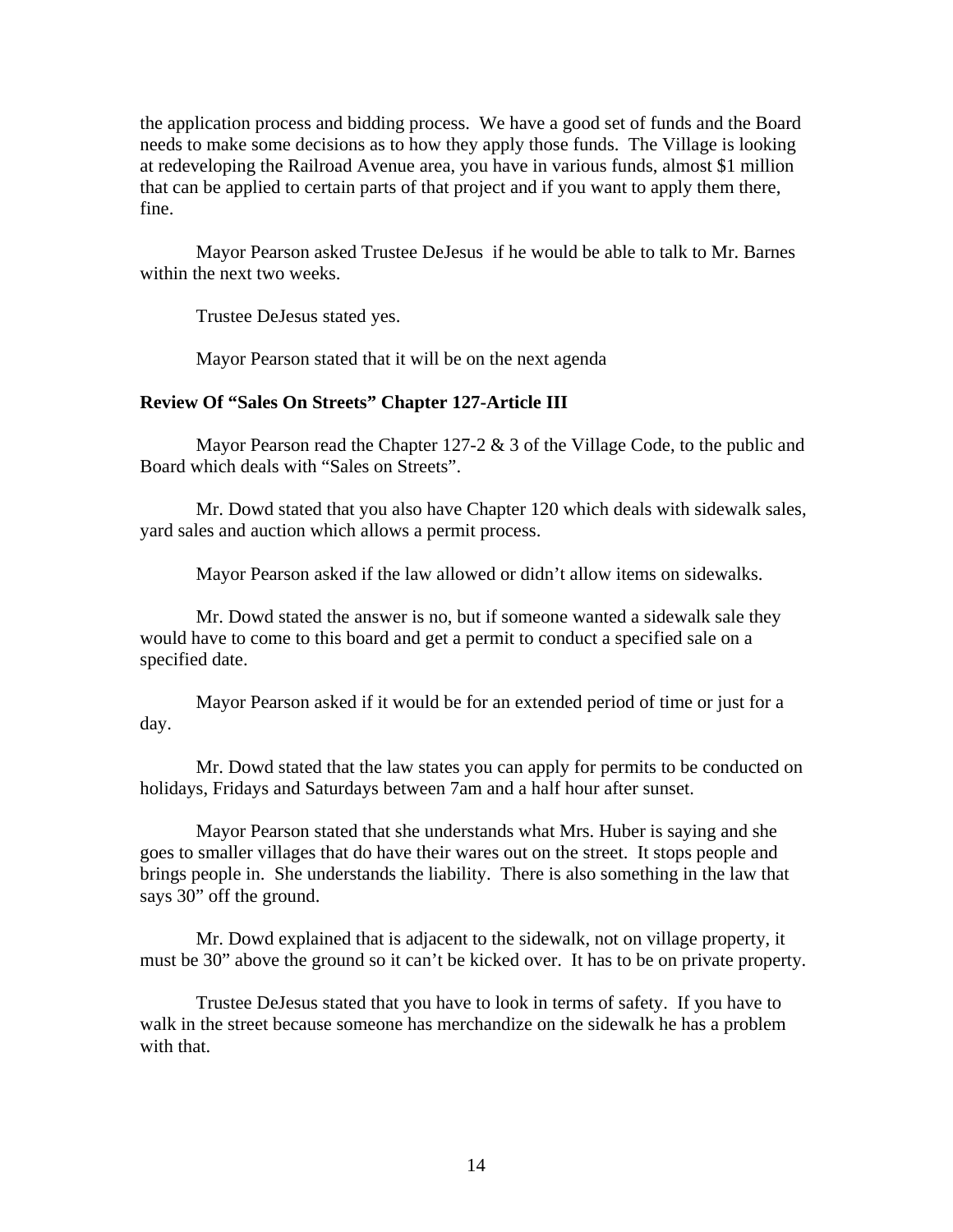the application process and bidding process. We have a good set of funds and the Board needs to make some decisions as to how they apply those funds. The Village is looking at redeveloping the Railroad Avenue area, you have in various funds, almost \$1 million that can be applied to certain parts of that project and if you want to apply them there, fine.

 Mayor Pearson asked Trustee DeJesus if he would be able to talk to Mr. Barnes within the next two weeks.

Trustee DeJesus stated yes.

Mayor Pearson stated that it will be on the next agenda

### **Review Of "Sales On Streets" Chapter 127-Article III**

 Mayor Pearson read the Chapter 127-2 & 3 of the Village Code, to the public and Board which deals with "Sales on Streets".

 Mr. Dowd stated that you also have Chapter 120 which deals with sidewalk sales, yard sales and auction which allows a permit process.

Mayor Pearson asked if the law allowed or didn't allow items on sidewalks.

 Mr. Dowd stated the answer is no, but if someone wanted a sidewalk sale they would have to come to this board and get a permit to conduct a specified sale on a specified date.

 Mayor Pearson asked if it would be for an extended period of time or just for a day.

 Mr. Dowd stated that the law states you can apply for permits to be conducted on holidays, Fridays and Saturdays between 7am and a half hour after sunset.

 Mayor Pearson stated that she understands what Mrs. Huber is saying and she goes to smaller villages that do have their wares out on the street. It stops people and brings people in. She understands the liability. There is also something in the law that says 30" off the ground.

 Mr. Dowd explained that is adjacent to the sidewalk, not on village property, it must be 30" above the ground so it can't be kicked over. It has to be on private property.

 Trustee DeJesus stated that you have to look in terms of safety. If you have to walk in the street because someone has merchandize on the sidewalk he has a problem with that.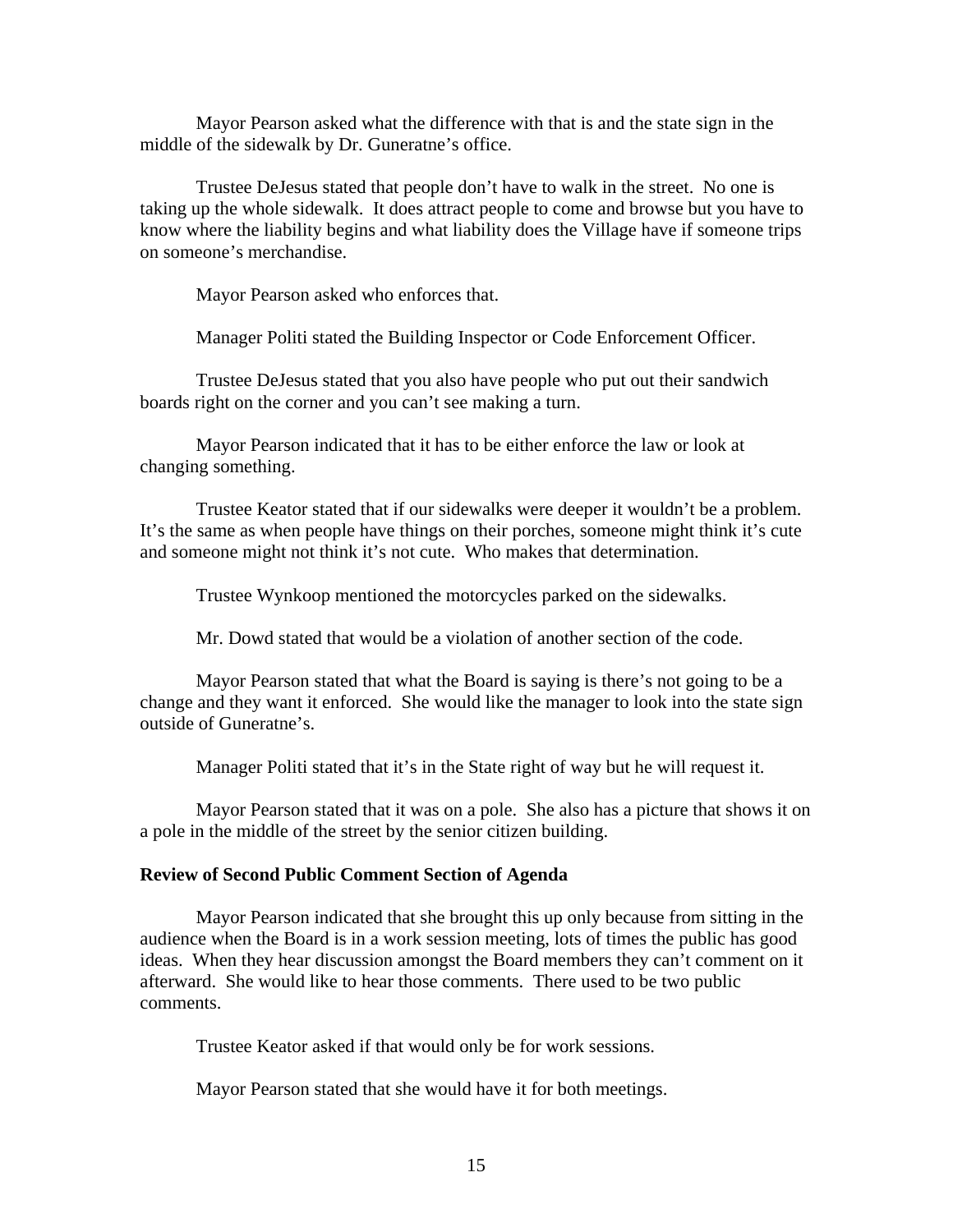Mayor Pearson asked what the difference with that is and the state sign in the middle of the sidewalk by Dr. Guneratne's office.

 Trustee DeJesus stated that people don't have to walk in the street. No one is taking up the whole sidewalk. It does attract people to come and browse but you have to know where the liability begins and what liability does the Village have if someone trips on someone's merchandise.

Mayor Pearson asked who enforces that.

Manager Politi stated the Building Inspector or Code Enforcement Officer.

 Trustee DeJesus stated that you also have people who put out their sandwich boards right on the corner and you can't see making a turn.

 Mayor Pearson indicated that it has to be either enforce the law or look at changing something.

 Trustee Keator stated that if our sidewalks were deeper it wouldn't be a problem. It's the same as when people have things on their porches, someone might think it's cute and someone might not think it's not cute. Who makes that determination.

Trustee Wynkoop mentioned the motorcycles parked on the sidewalks.

Mr. Dowd stated that would be a violation of another section of the code.

 Mayor Pearson stated that what the Board is saying is there's not going to be a change and they want it enforced. She would like the manager to look into the state sign outside of Guneratne's.

Manager Politi stated that it's in the State right of way but he will request it.

 Mayor Pearson stated that it was on a pole. She also has a picture that shows it on a pole in the middle of the street by the senior citizen building.

#### **Review of Second Public Comment Section of Agenda**

Mayor Pearson indicated that she brought this up only because from sitting in the audience when the Board is in a work session meeting, lots of times the public has good ideas. When they hear discussion amongst the Board members they can't comment on it afterward. She would like to hear those comments. There used to be two public comments.

Trustee Keator asked if that would only be for work sessions.

Mayor Pearson stated that she would have it for both meetings.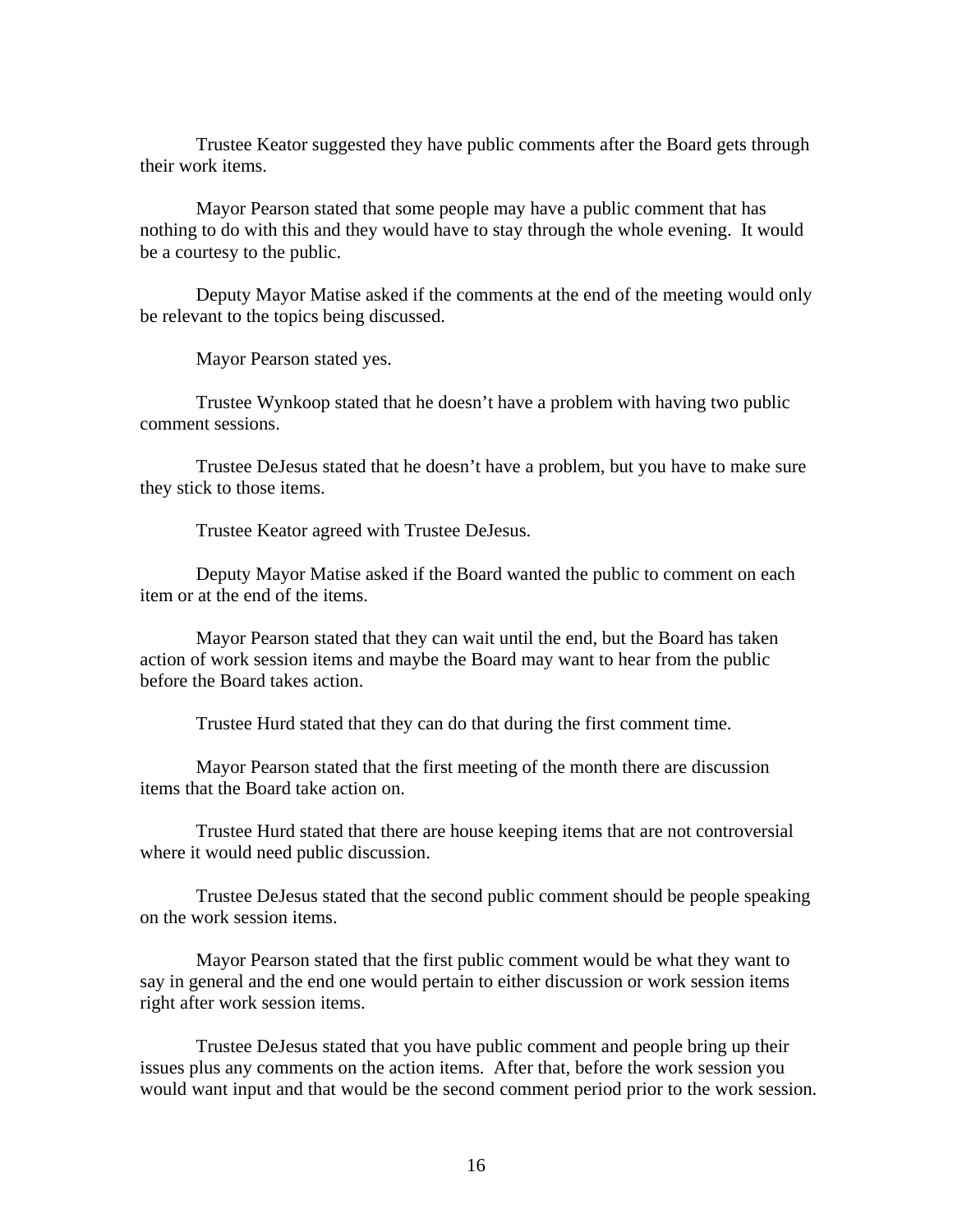Trustee Keator suggested they have public comments after the Board gets through their work items.

 Mayor Pearson stated that some people may have a public comment that has nothing to do with this and they would have to stay through the whole evening. It would be a courtesy to the public.

 Deputy Mayor Matise asked if the comments at the end of the meeting would only be relevant to the topics being discussed.

Mayor Pearson stated yes.

 Trustee Wynkoop stated that he doesn't have a problem with having two public comment sessions.

 Trustee DeJesus stated that he doesn't have a problem, but you have to make sure they stick to those items.

Trustee Keator agreed with Trustee DeJesus.

 Deputy Mayor Matise asked if the Board wanted the public to comment on each item or at the end of the items.

 Mayor Pearson stated that they can wait until the end, but the Board has taken action of work session items and maybe the Board may want to hear from the public before the Board takes action.

Trustee Hurd stated that they can do that during the first comment time.

 Mayor Pearson stated that the first meeting of the month there are discussion items that the Board take action on.

 Trustee Hurd stated that there are house keeping items that are not controversial where it would need public discussion.

 Trustee DeJesus stated that the second public comment should be people speaking on the work session items.

 Mayor Pearson stated that the first public comment would be what they want to say in general and the end one would pertain to either discussion or work session items right after work session items.

 Trustee DeJesus stated that you have public comment and people bring up their issues plus any comments on the action items. After that, before the work session you would want input and that would be the second comment period prior to the work session.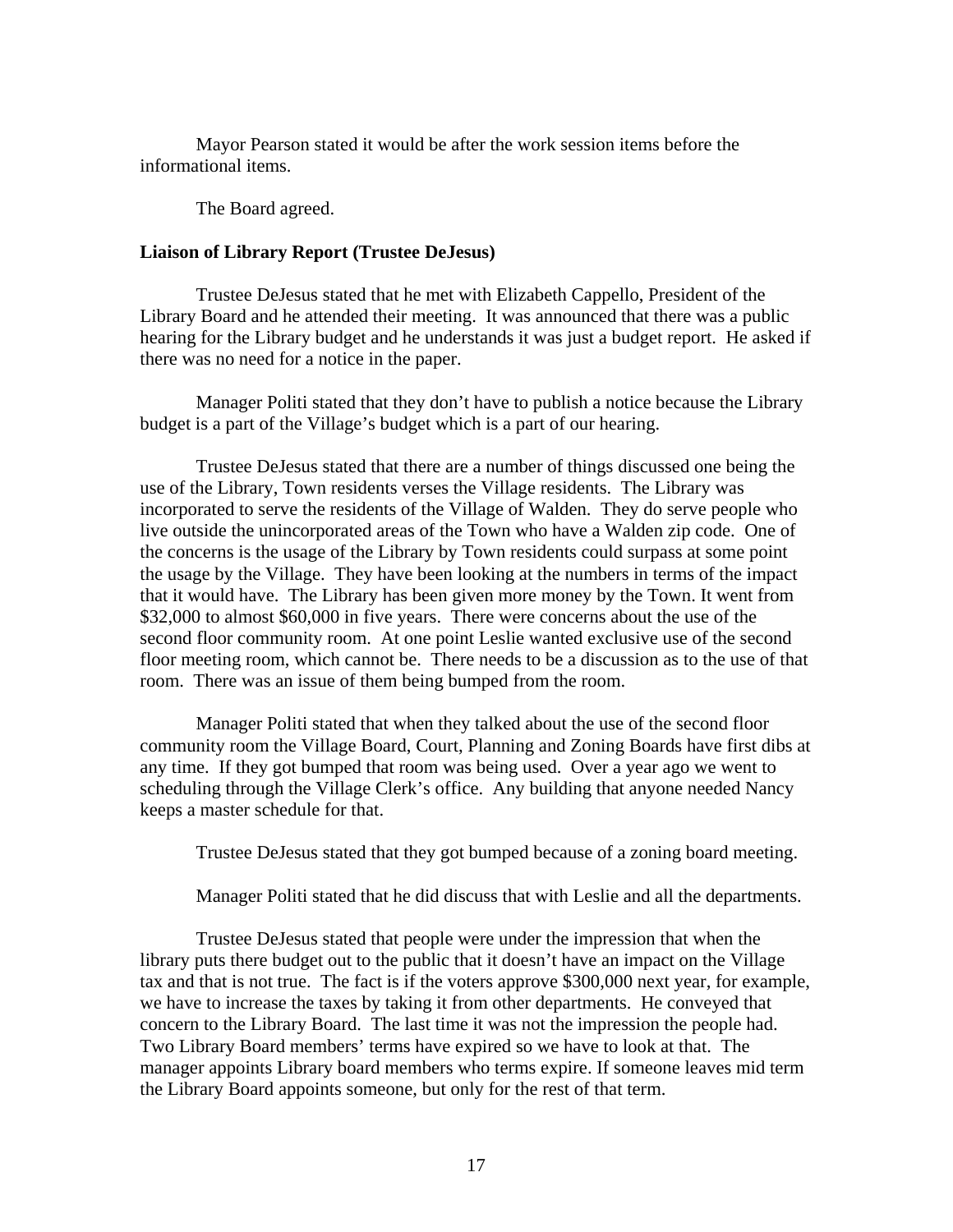Mayor Pearson stated it would be after the work session items before the informational items.

The Board agreed.

# **Liaison of Library Report (Trustee DeJesus)**

Trustee DeJesus stated that he met with Elizabeth Cappello, President of the Library Board and he attended their meeting. It was announced that there was a public hearing for the Library budget and he understands it was just a budget report. He asked if there was no need for a notice in the paper.

 Manager Politi stated that they don't have to publish a notice because the Library budget is a part of the Village's budget which is a part of our hearing.

 Trustee DeJesus stated that there are a number of things discussed one being the use of the Library, Town residents verses the Village residents. The Library was incorporated to serve the residents of the Village of Walden. They do serve people who live outside the unincorporated areas of the Town who have a Walden zip code. One of the concerns is the usage of the Library by Town residents could surpass at some point the usage by the Village. They have been looking at the numbers in terms of the impact that it would have. The Library has been given more money by the Town. It went from \$32,000 to almost \$60,000 in five years. There were concerns about the use of the second floor community room. At one point Leslie wanted exclusive use of the second floor meeting room, which cannot be. There needs to be a discussion as to the use of that room. There was an issue of them being bumped from the room.

 Manager Politi stated that when they talked about the use of the second floor community room the Village Board, Court, Planning and Zoning Boards have first dibs at any time. If they got bumped that room was being used. Over a year ago we went to scheduling through the Village Clerk's office. Any building that anyone needed Nancy keeps a master schedule for that.

Trustee DeJesus stated that they got bumped because of a zoning board meeting.

Manager Politi stated that he did discuss that with Leslie and all the departments.

 Trustee DeJesus stated that people were under the impression that when the library puts there budget out to the public that it doesn't have an impact on the Village tax and that is not true. The fact is if the voters approve \$300,000 next year, for example, we have to increase the taxes by taking it from other departments. He conveyed that concern to the Library Board. The last time it was not the impression the people had. Two Library Board members' terms have expired so we have to look at that. The manager appoints Library board members who terms expire. If someone leaves mid term the Library Board appoints someone, but only for the rest of that term.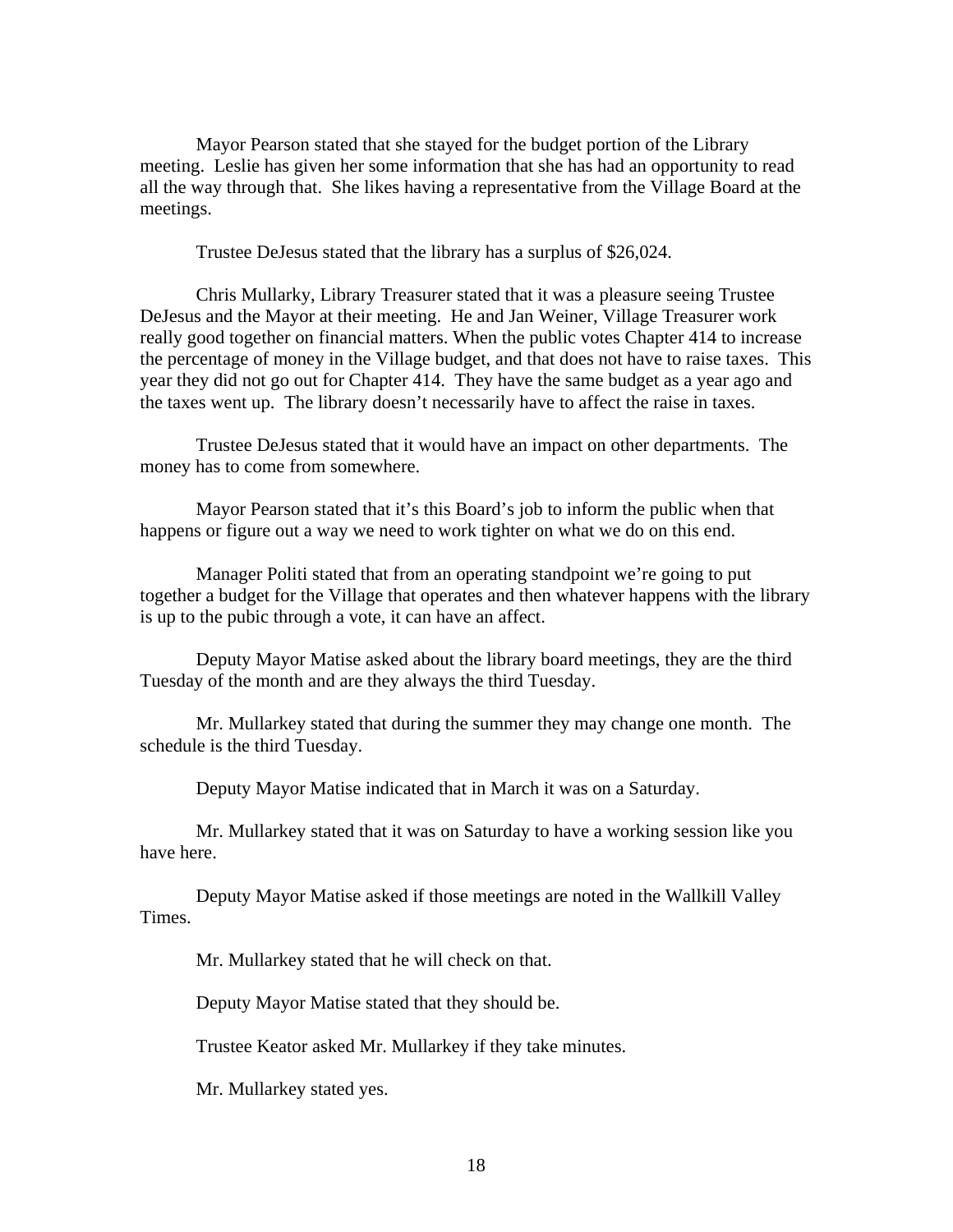Mayor Pearson stated that she stayed for the budget portion of the Library meeting. Leslie has given her some information that she has had an opportunity to read all the way through that. She likes having a representative from the Village Board at the meetings.

Trustee DeJesus stated that the library has a surplus of \$26,024.

 Chris Mullarky, Library Treasurer stated that it was a pleasure seeing Trustee DeJesus and the Mayor at their meeting. He and Jan Weiner, Village Treasurer work really good together on financial matters. When the public votes Chapter 414 to increase the percentage of money in the Village budget, and that does not have to raise taxes. This year they did not go out for Chapter 414. They have the same budget as a year ago and the taxes went up. The library doesn't necessarily have to affect the raise in taxes.

 Trustee DeJesus stated that it would have an impact on other departments. The money has to come from somewhere.

 Mayor Pearson stated that it's this Board's job to inform the public when that happens or figure out a way we need to work tighter on what we do on this end.

 Manager Politi stated that from an operating standpoint we're going to put together a budget for the Village that operates and then whatever happens with the library is up to the pubic through a vote, it can have an affect.

 Deputy Mayor Matise asked about the library board meetings, they are the third Tuesday of the month and are they always the third Tuesday.

 Mr. Mullarkey stated that during the summer they may change one month. The schedule is the third Tuesday.

Deputy Mayor Matise indicated that in March it was on a Saturday.

 Mr. Mullarkey stated that it was on Saturday to have a working session like you have here.

 Deputy Mayor Matise asked if those meetings are noted in the Wallkill Valley Times.

Mr. Mullarkey stated that he will check on that.

Deputy Mayor Matise stated that they should be.

Trustee Keator asked Mr. Mullarkey if they take minutes.

Mr. Mullarkey stated yes.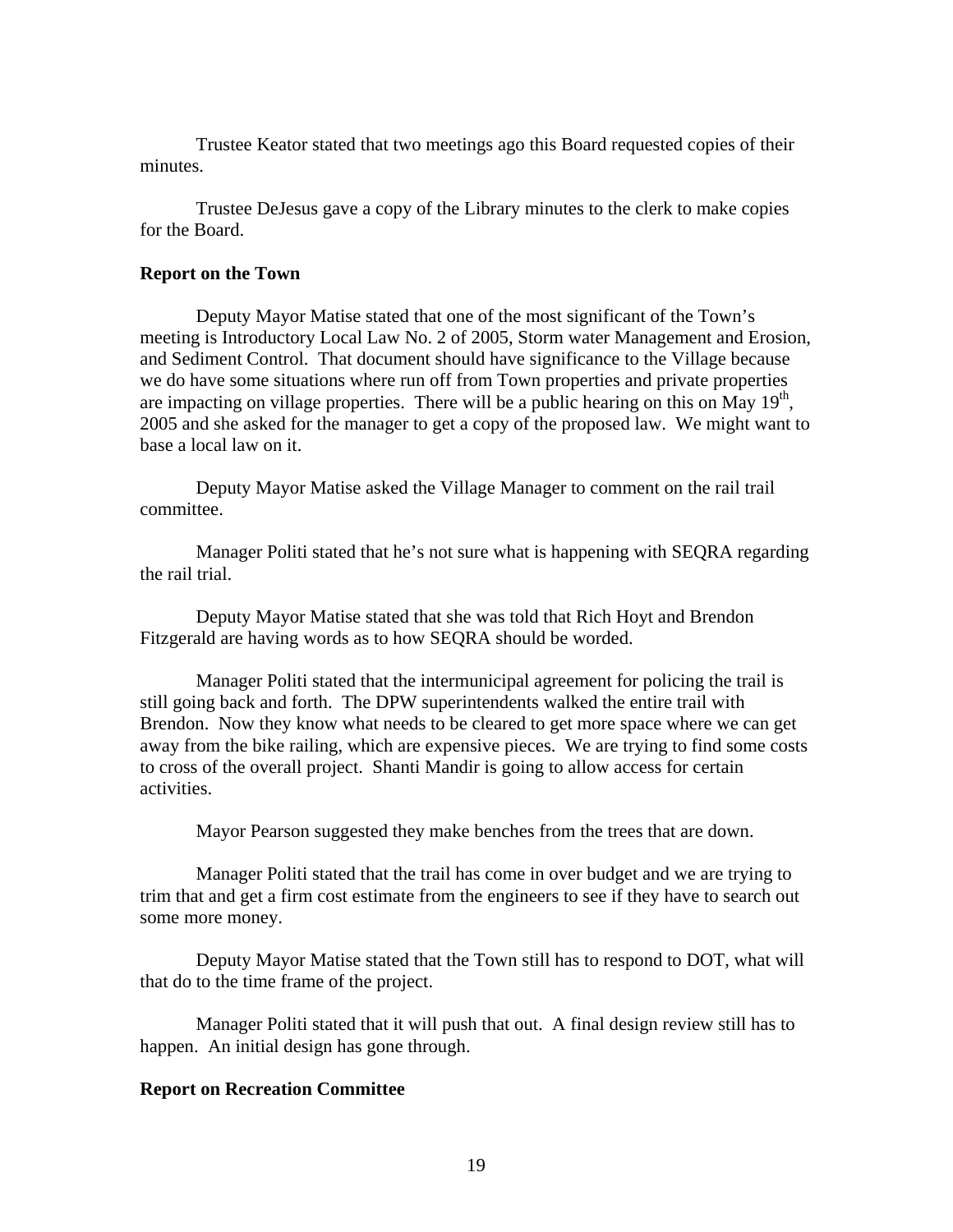Trustee Keator stated that two meetings ago this Board requested copies of their minutes.

 Trustee DeJesus gave a copy of the Library minutes to the clerk to make copies for the Board.

### **Report on the Town**

 Deputy Mayor Matise stated that one of the most significant of the Town's meeting is Introductory Local Law No. 2 of 2005, Storm water Management and Erosion, and Sediment Control. That document should have significance to the Village because we do have some situations where run off from Town properties and private properties are impacting on village properties. There will be a public hearing on this on May  $19<sup>th</sup>$ , 2005 and she asked for the manager to get a copy of the proposed law. We might want to base a local law on it.

 Deputy Mayor Matise asked the Village Manager to comment on the rail trail committee.

 Manager Politi stated that he's not sure what is happening with SEQRA regarding the rail trial.

 Deputy Mayor Matise stated that she was told that Rich Hoyt and Brendon Fitzgerald are having words as to how SEQRA should be worded.

 Manager Politi stated that the intermunicipal agreement for policing the trail is still going back and forth. The DPW superintendents walked the entire trail with Brendon. Now they know what needs to be cleared to get more space where we can get away from the bike railing, which are expensive pieces. We are trying to find some costs to cross of the overall project. Shanti Mandir is going to allow access for certain activities.

Mayor Pearson suggested they make benches from the trees that are down.

 Manager Politi stated that the trail has come in over budget and we are trying to trim that and get a firm cost estimate from the engineers to see if they have to search out some more money.

 Deputy Mayor Matise stated that the Town still has to respond to DOT, what will that do to the time frame of the project.

 Manager Politi stated that it will push that out. A final design review still has to happen. An initial design has gone through.

#### **Report on Recreation Committee**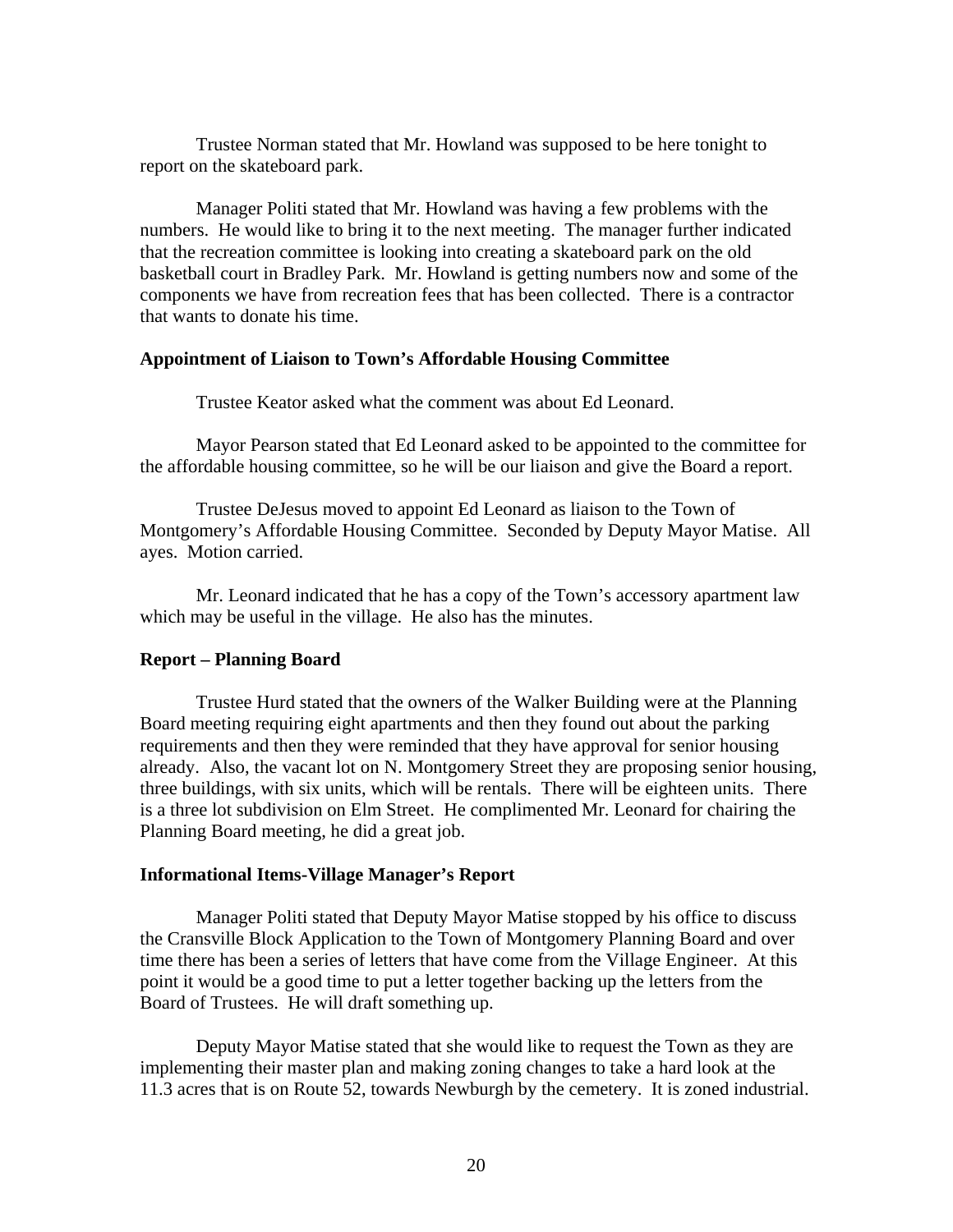Trustee Norman stated that Mr. Howland was supposed to be here tonight to report on the skateboard park.

 Manager Politi stated that Mr. Howland was having a few problems with the numbers. He would like to bring it to the next meeting. The manager further indicated that the recreation committee is looking into creating a skateboard park on the old basketball court in Bradley Park. Mr. Howland is getting numbers now and some of the components we have from recreation fees that has been collected. There is a contractor that wants to donate his time.

#### **Appointment of Liaison to Town's Affordable Housing Committee**

Trustee Keator asked what the comment was about Ed Leonard.

 Mayor Pearson stated that Ed Leonard asked to be appointed to the committee for the affordable housing committee, so he will be our liaison and give the Board a report.

 Trustee DeJesus moved to appoint Ed Leonard as liaison to the Town of Montgomery's Affordable Housing Committee. Seconded by Deputy Mayor Matise. All ayes. Motion carried.

 Mr. Leonard indicated that he has a copy of the Town's accessory apartment law which may be useful in the village. He also has the minutes.

#### **Report – Planning Board**

Trustee Hurd stated that the owners of the Walker Building were at the Planning Board meeting requiring eight apartments and then they found out about the parking requirements and then they were reminded that they have approval for senior housing already. Also, the vacant lot on N. Montgomery Street they are proposing senior housing, three buildings, with six units, which will be rentals. There will be eighteen units. There is a three lot subdivision on Elm Street. He complimented Mr. Leonard for chairing the Planning Board meeting, he did a great job.

#### **Informational Items-Village Manager's Report**

 Manager Politi stated that Deputy Mayor Matise stopped by his office to discuss the Cransville Block Application to the Town of Montgomery Planning Board and over time there has been a series of letters that have come from the Village Engineer. At this point it would be a good time to put a letter together backing up the letters from the Board of Trustees. He will draft something up.

 Deputy Mayor Matise stated that she would like to request the Town as they are implementing their master plan and making zoning changes to take a hard look at the 11.3 acres that is on Route 52, towards Newburgh by the cemetery. It is zoned industrial.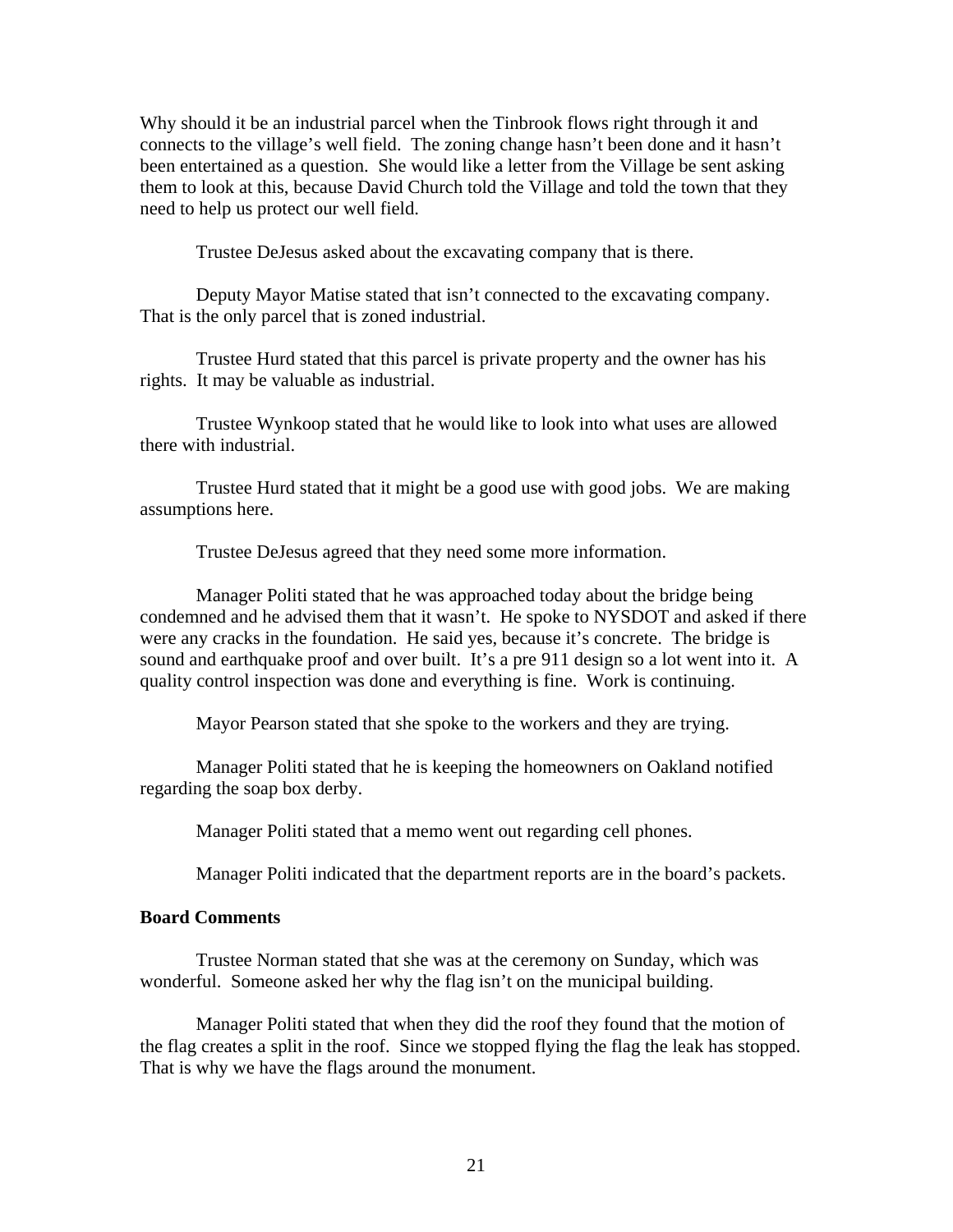Why should it be an industrial parcel when the Tinbrook flows right through it and connects to the village's well field. The zoning change hasn't been done and it hasn't been entertained as a question. She would like a letter from the Village be sent asking them to look at this, because David Church told the Village and told the town that they need to help us protect our well field.

Trustee DeJesus asked about the excavating company that is there.

 Deputy Mayor Matise stated that isn't connected to the excavating company. That is the only parcel that is zoned industrial.

 Trustee Hurd stated that this parcel is private property and the owner has his rights. It may be valuable as industrial.

 Trustee Wynkoop stated that he would like to look into what uses are allowed there with industrial.

 Trustee Hurd stated that it might be a good use with good jobs. We are making assumptions here.

Trustee DeJesus agreed that they need some more information.

 Manager Politi stated that he was approached today about the bridge being condemned and he advised them that it wasn't. He spoke to NYSDOT and asked if there were any cracks in the foundation. He said yes, because it's concrete. The bridge is sound and earthquake proof and over built. It's a pre 911 design so a lot went into it. A quality control inspection was done and everything is fine. Work is continuing.

Mayor Pearson stated that she spoke to the workers and they are trying.

 Manager Politi stated that he is keeping the homeowners on Oakland notified regarding the soap box derby.

Manager Politi stated that a memo went out regarding cell phones.

Manager Politi indicated that the department reports are in the board's packets.

# **Board Comments**

Trustee Norman stated that she was at the ceremony on Sunday, which was wonderful. Someone asked her why the flag isn't on the municipal building.

 Manager Politi stated that when they did the roof they found that the motion of the flag creates a split in the roof. Since we stopped flying the flag the leak has stopped. That is why we have the flags around the monument.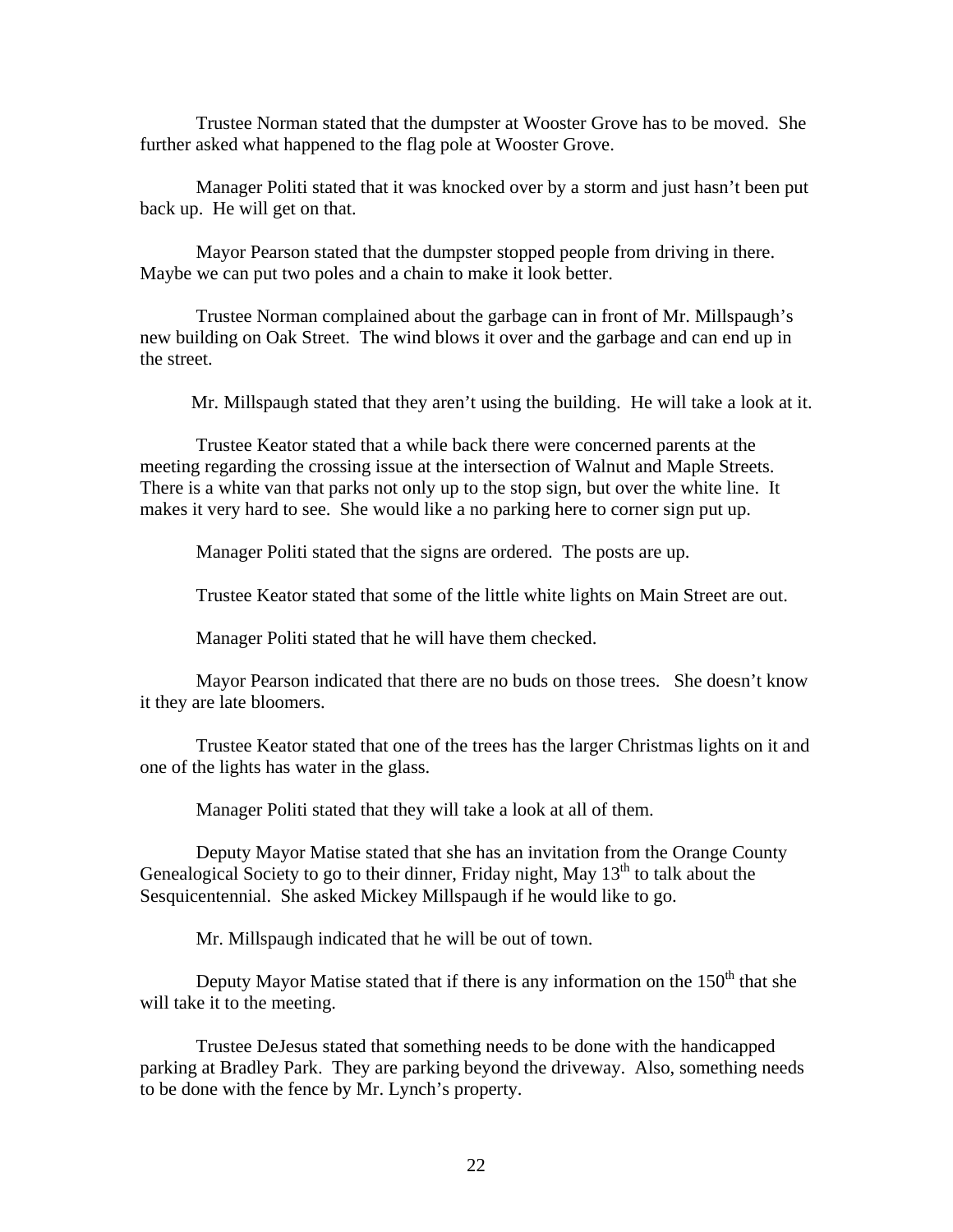Trustee Norman stated that the dumpster at Wooster Grove has to be moved. She further asked what happened to the flag pole at Wooster Grove.

 Manager Politi stated that it was knocked over by a storm and just hasn't been put back up. He will get on that.

 Mayor Pearson stated that the dumpster stopped people from driving in there. Maybe we can put two poles and a chain to make it look better.

 Trustee Norman complained about the garbage can in front of Mr. Millspaugh's new building on Oak Street. The wind blows it over and the garbage and can end up in the street.

Mr. Millspaugh stated that they aren't using the building. He will take a look at it.

 Trustee Keator stated that a while back there were concerned parents at the meeting regarding the crossing issue at the intersection of Walnut and Maple Streets. There is a white van that parks not only up to the stop sign, but over the white line. It makes it very hard to see. She would like a no parking here to corner sign put up.

Manager Politi stated that the signs are ordered. The posts are up.

Trustee Keator stated that some of the little white lights on Main Street are out.

Manager Politi stated that he will have them checked.

 Mayor Pearson indicated that there are no buds on those trees. She doesn't know it they are late bloomers.

 Trustee Keator stated that one of the trees has the larger Christmas lights on it and one of the lights has water in the glass.

Manager Politi stated that they will take a look at all of them.

 Deputy Mayor Matise stated that she has an invitation from the Orange County Genealogical Society to go to their dinner, Friday night, May  $13<sup>th</sup>$  to talk about the Sesquicentennial. She asked Mickey Millspaugh if he would like to go.

Mr. Millspaugh indicated that he will be out of town.

Deputy Mayor Matise stated that if there is any information on the  $150<sup>th</sup>$  that she will take it to the meeting.

 Trustee DeJesus stated that something needs to be done with the handicapped parking at Bradley Park. They are parking beyond the driveway. Also, something needs to be done with the fence by Mr. Lynch's property.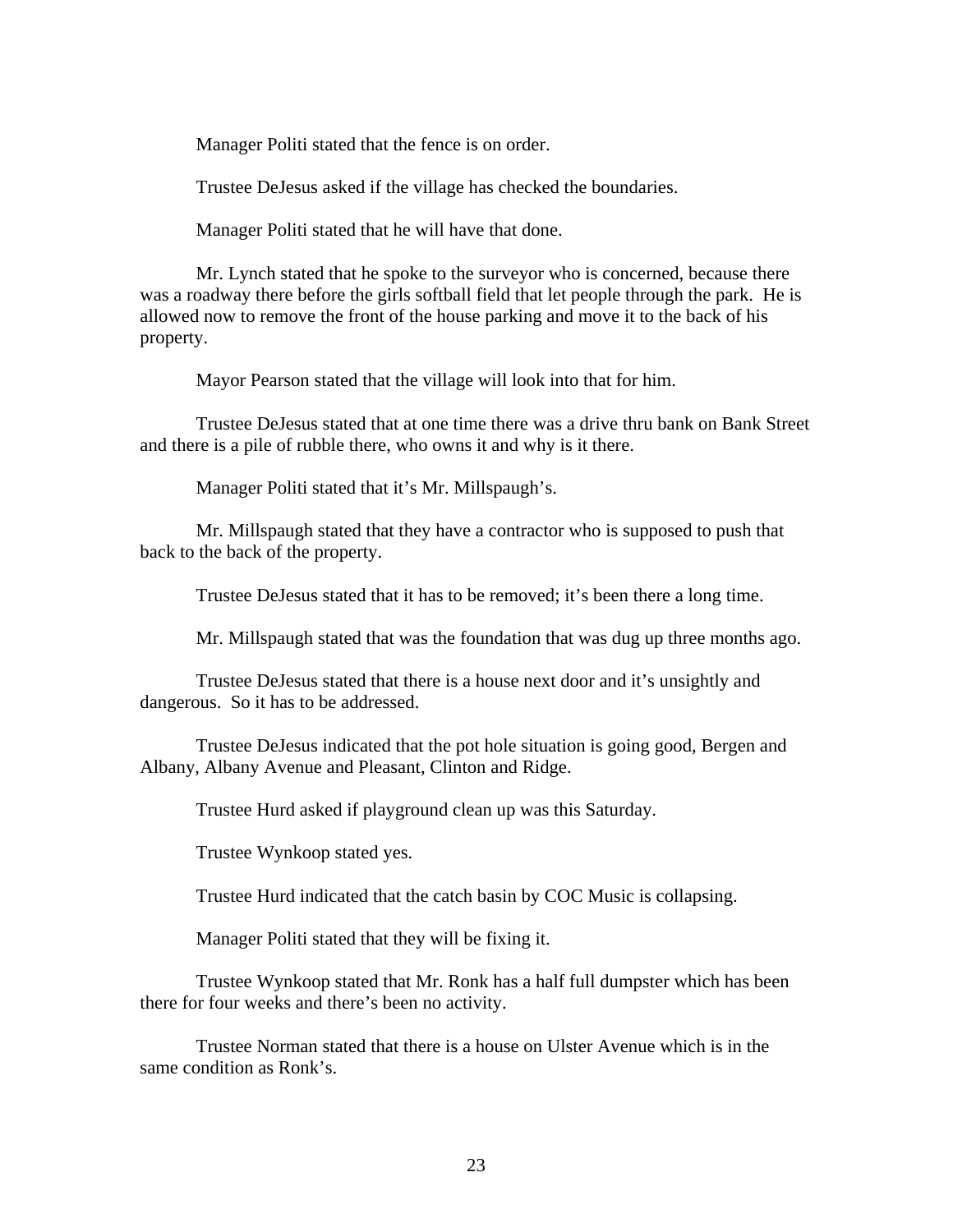Manager Politi stated that the fence is on order.

Trustee DeJesus asked if the village has checked the boundaries.

Manager Politi stated that he will have that done.

 Mr. Lynch stated that he spoke to the surveyor who is concerned, because there was a roadway there before the girls softball field that let people through the park. He is allowed now to remove the front of the house parking and move it to the back of his property.

Mayor Pearson stated that the village will look into that for him.

 Trustee DeJesus stated that at one time there was a drive thru bank on Bank Street and there is a pile of rubble there, who owns it and why is it there.

Manager Politi stated that it's Mr. Millspaugh's.

 Mr. Millspaugh stated that they have a contractor who is supposed to push that back to the back of the property.

Trustee DeJesus stated that it has to be removed; it's been there a long time.

Mr. Millspaugh stated that was the foundation that was dug up three months ago.

 Trustee DeJesus stated that there is a house next door and it's unsightly and dangerous. So it has to be addressed.

 Trustee DeJesus indicated that the pot hole situation is going good, Bergen and Albany, Albany Avenue and Pleasant, Clinton and Ridge.

Trustee Hurd asked if playground clean up was this Saturday.

Trustee Wynkoop stated yes.

Trustee Hurd indicated that the catch basin by COC Music is collapsing.

Manager Politi stated that they will be fixing it.

 Trustee Wynkoop stated that Mr. Ronk has a half full dumpster which has been there for four weeks and there's been no activity.

 Trustee Norman stated that there is a house on Ulster Avenue which is in the same condition as Ronk's.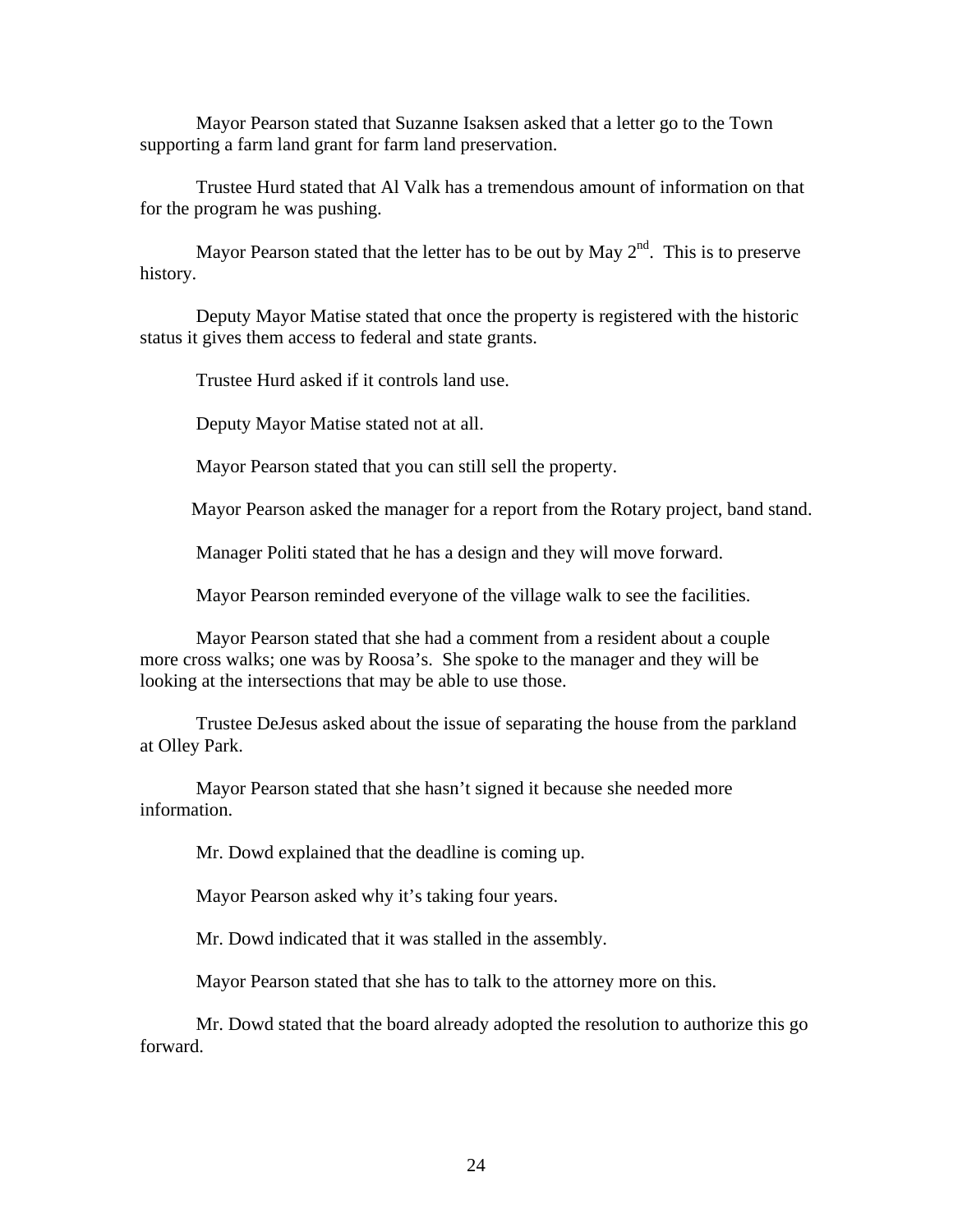Mayor Pearson stated that Suzanne Isaksen asked that a letter go to the Town supporting a farm land grant for farm land preservation.

 Trustee Hurd stated that Al Valk has a tremendous amount of information on that for the program he was pushing.

Mayor Pearson stated that the letter has to be out by May  $2<sup>nd</sup>$ . This is to preserve history.

 Deputy Mayor Matise stated that once the property is registered with the historic status it gives them access to federal and state grants.

Trustee Hurd asked if it controls land use.

Deputy Mayor Matise stated not at all.

Mayor Pearson stated that you can still sell the property.

Mayor Pearson asked the manager for a report from the Rotary project, band stand.

Manager Politi stated that he has a design and they will move forward.

Mayor Pearson reminded everyone of the village walk to see the facilities.

 Mayor Pearson stated that she had a comment from a resident about a couple more cross walks; one was by Roosa's. She spoke to the manager and they will be looking at the intersections that may be able to use those.

 Trustee DeJesus asked about the issue of separating the house from the parkland at Olley Park.

 Mayor Pearson stated that she hasn't signed it because she needed more information.

Mr. Dowd explained that the deadline is coming up.

Mayor Pearson asked why it's taking four years.

Mr. Dowd indicated that it was stalled in the assembly.

Mayor Pearson stated that she has to talk to the attorney more on this.

 Mr. Dowd stated that the board already adopted the resolution to authorize this go forward.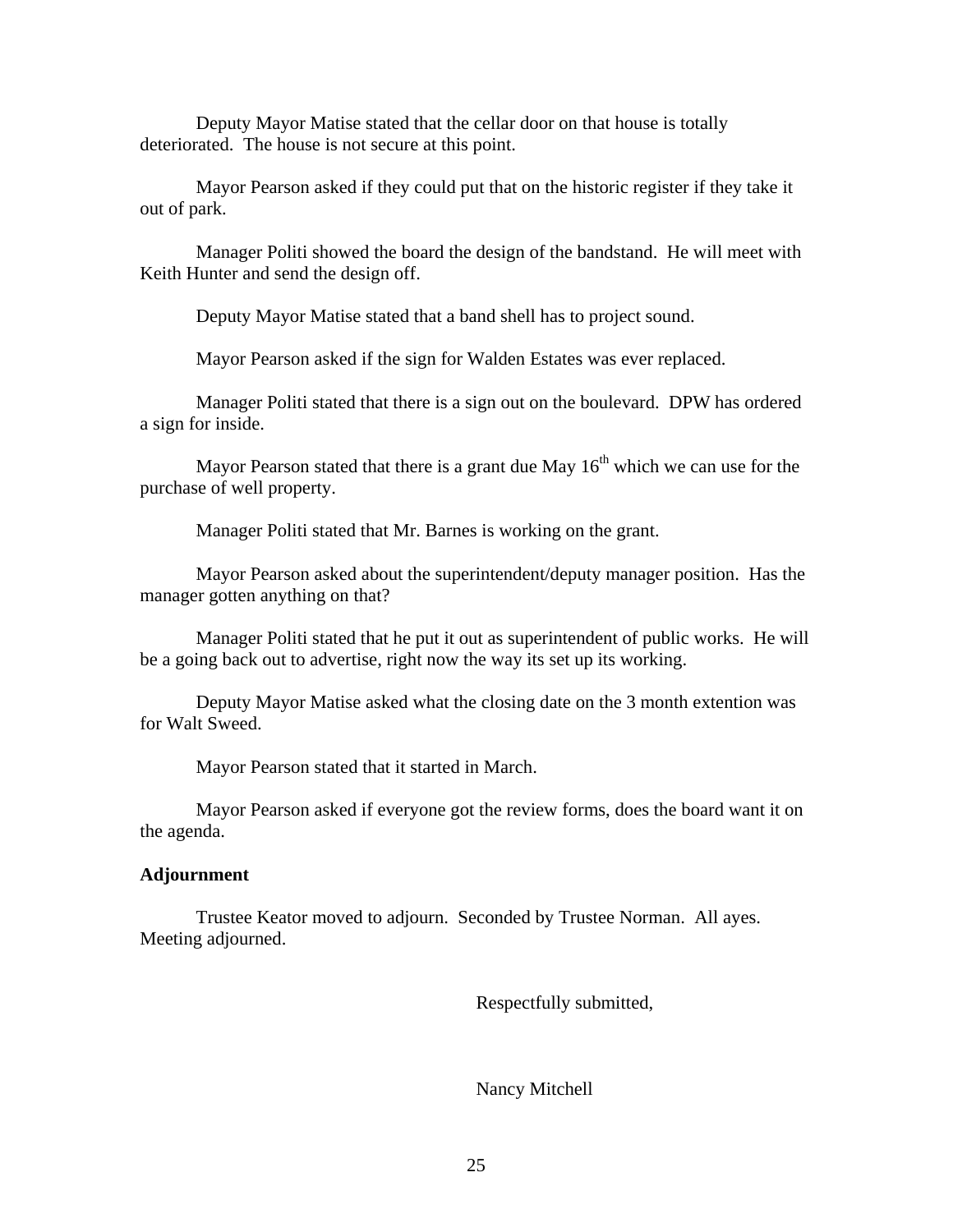Deputy Mayor Matise stated that the cellar door on that house is totally deteriorated. The house is not secure at this point.

 Mayor Pearson asked if they could put that on the historic register if they take it out of park.

 Manager Politi showed the board the design of the bandstand. He will meet with Keith Hunter and send the design off.

Deputy Mayor Matise stated that a band shell has to project sound.

Mayor Pearson asked if the sign for Walden Estates was ever replaced.

 Manager Politi stated that there is a sign out on the boulevard. DPW has ordered a sign for inside.

Mayor Pearson stated that there is a grant due May  $16<sup>th</sup>$  which we can use for the purchase of well property.

Manager Politi stated that Mr. Barnes is working on the grant.

 Mayor Pearson asked about the superintendent/deputy manager position. Has the manager gotten anything on that?

 Manager Politi stated that he put it out as superintendent of public works. He will be a going back out to advertise, right now the way its set up its working.

 Deputy Mayor Matise asked what the closing date on the 3 month extention was for Walt Sweed.

Mayor Pearson stated that it started in March.

 Mayor Pearson asked if everyone got the review forms, does the board want it on the agenda.

# **Adjournment**

Trustee Keator moved to adjourn. Seconded by Trustee Norman. All ayes. Meeting adjourned.

Respectfully submitted,

Nancy Mitchell